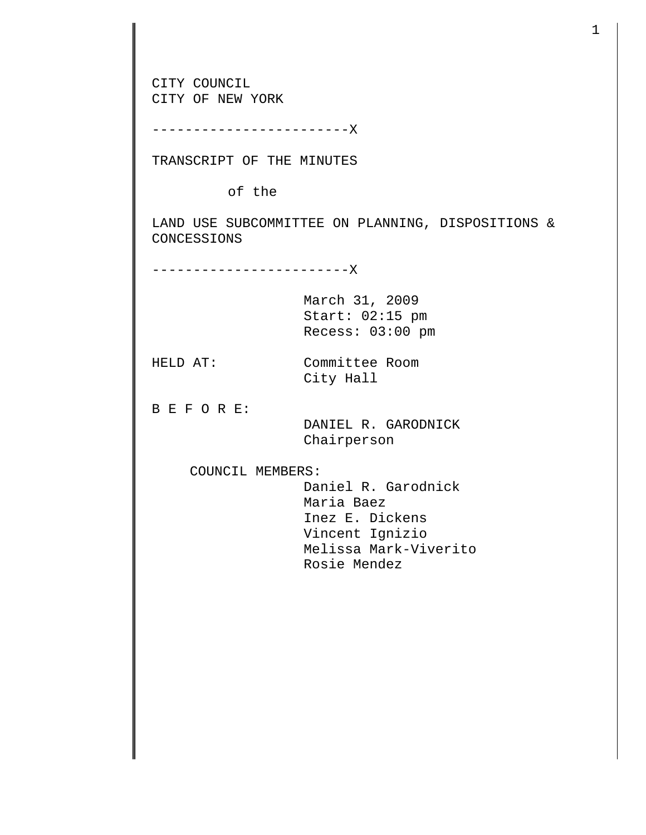CITY COUNCIL CITY OF NEW YORK ------------------------X TRANSCRIPT OF THE MINUTES of the LAND USE SUBCOMMITTEE ON PLANNING, DISPOSITIONS & CONCESSIONS ------------------------X March 31, 2009 Start: 02:15 pm Recess: 03:00 pm HELD AT: Committee Room City Hall B E F O R E: DANIEL R. GARODNICK Chairperson COUNCIL MEMBERS: Daniel R. Garodnick Maria Baez Inez E. Dickens Vincent Ignizio Melissa Mark-Viverito Rosie Mendez

1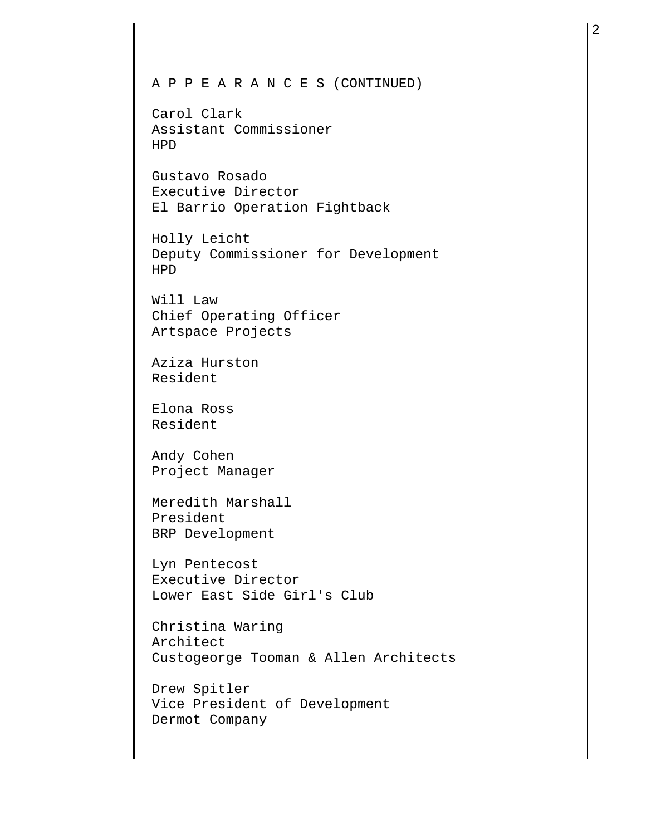## A P P E A R A N C E S (CONTINUED)

Carol Clark Assistant Commissioner HPD

Gustavo Rosado Executive Director El Barrio Operation Fightback

Holly Leicht Deputy Commissioner for Development HPD

Will Law Chief Operating Officer Artspace Projects

Aziza Hurston Resident

Elona Ross Resident

Andy Cohen Project Manager

Meredith Marshall President BRP Development

Lyn Pentecost Executive Director Lower East Side Girl's Club

Christina Waring Architect Custogeorge Tooman & Allen Architects

Drew Spitler Vice President of Development Dermot Company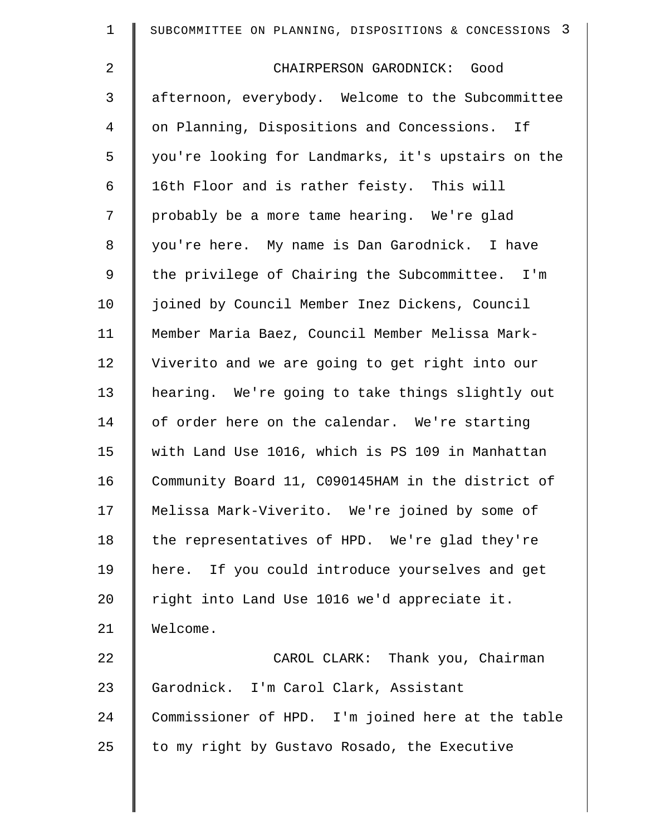| $\mathbf 1$    | SUBCOMMITTEE ON PLANNING, DISPOSITIONS & CONCESSIONS 3 |
|----------------|--------------------------------------------------------|
| $\overline{a}$ | CHAIRPERSON GARODNICK: Good                            |
| 3              | afternoon, everybody. Welcome to the Subcommittee      |
| 4              | on Planning, Dispositions and Concessions. If          |
| 5              | you're looking for Landmarks, it's upstairs on the     |
| 6              | 16th Floor and is rather feisty. This will             |
| 7              | probably be a more tame hearing. We're glad            |
| 8              | you're here. My name is Dan Garodnick. I have          |
| 9              | the privilege of Chairing the Subcommittee. I'm        |
| 10             | joined by Council Member Inez Dickens, Council         |
| 11             | Member Maria Baez, Council Member Melissa Mark-        |
| 12             | Viverito and we are going to get right into our        |
| 13             | hearing. We're going to take things slightly out       |
| 14             | of order here on the calendar. We're starting          |
| 15             | with Land Use 1016, which is PS 109 in Manhattan       |
| 16             | Community Board 11, C090145HAM in the district of      |
| 17             | Melissa Mark-Viverito. We're joined by some of         |
| 18             | the representatives of HPD. We're glad they're         |
| 19             | here. If you could introduce yourselves and get        |
| 20             | right into Land Use 1016 we'd appreciate it.           |
| 21             | Welcome.                                               |
| 22             | CAROL CLARK: Thank you, Chairman                       |
| 23             | Garodnick. I'm Carol Clark, Assistant                  |
| 24             | Commissioner of HPD. I'm joined here at the table      |
| 25             | to my right by Gustavo Rosado, the Executive           |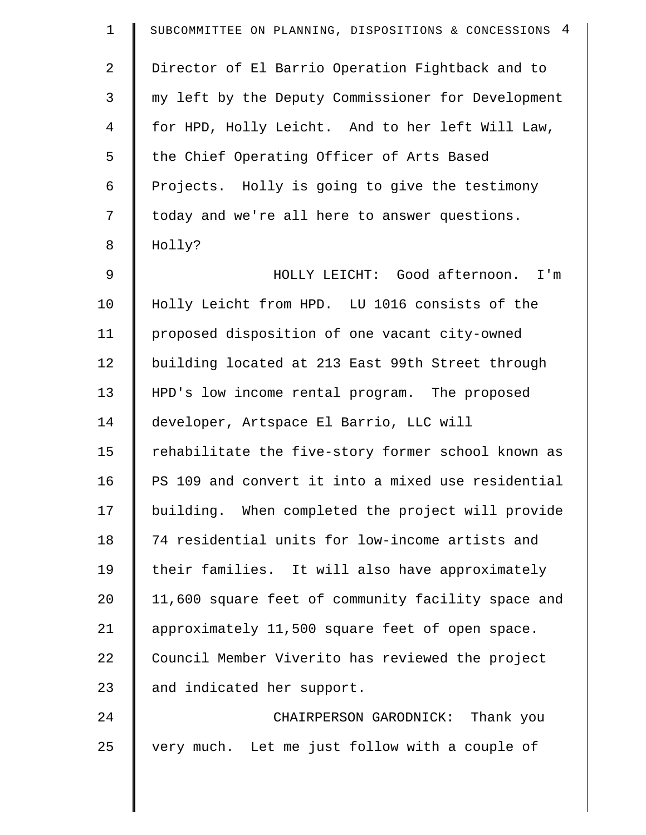| $\mathbf 1$ | SUBCOMMITTEE ON PLANNING, DISPOSITIONS & CONCESSIONS 4 |
|-------------|--------------------------------------------------------|
| 2           | Director of El Barrio Operation Fightback and to       |
| 3           | my left by the Deputy Commissioner for Development     |
| 4           | for HPD, Holly Leicht. And to her left Will Law,       |
| 5           | the Chief Operating Officer of Arts Based              |
| 6           | Projects. Holly is going to give the testimony         |
| 7           | today and we're all here to answer questions.          |
| 8           | Holly?                                                 |
| 9           | HOLLY LEICHT: Good afternoon. I'm                      |
| 10          | Holly Leicht from HPD. LU 1016 consists of the         |
| 11          | proposed disposition of one vacant city-owned          |
| 12          | building located at 213 East 99th Street through       |
| 13          | HPD's low income rental program. The proposed          |
| 14          | developer, Artspace El Barrio, LLC will                |
| 15          | rehabilitate the five-story former school known as     |
| 16          | PS 109 and convert it into a mixed use residential     |
| 17          | building. When completed the project will provide      |
| 18          | 74 residential units for low-income artists and        |
| 19          | their families. It will also have approximately        |
| 20          | 11,600 square feet of community facility space and     |
| 21          | approximately 11,500 square feet of open space.        |
| 22          | Council Member Viverito has reviewed the project       |
| 23          | and indicated her support.                             |
| 24          | CHAIRPERSON GARODNICK: Thank you                       |
| 25          | very much. Let me just follow with a couple of         |
|             |                                                        |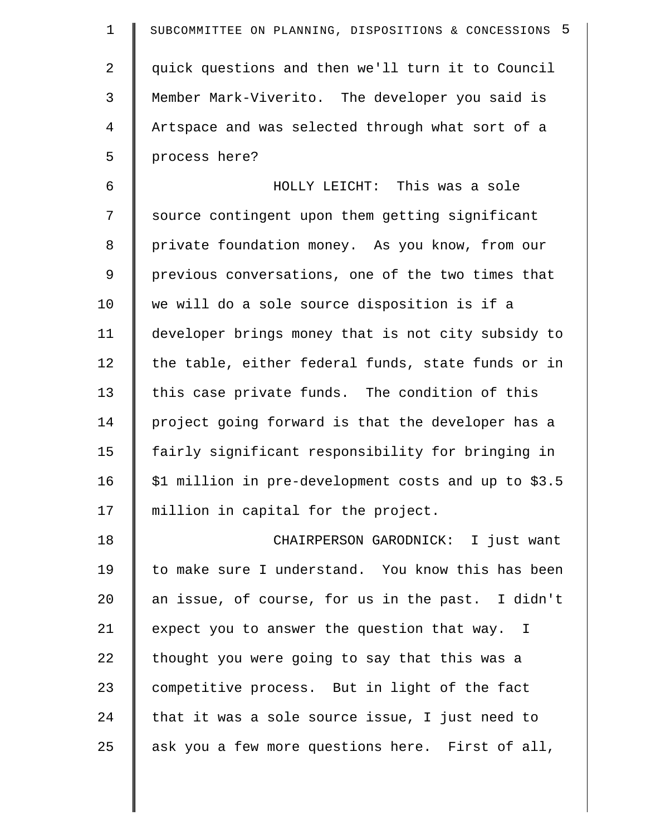| $\mathbf 1$    | SUBCOMMITTEE ON PLANNING, DISPOSITIONS & CONCESSIONS 5 |
|----------------|--------------------------------------------------------|
| $\overline{2}$ | quick questions and then we'll turn it to Council      |
| 3              | Member Mark-Viverito. The developer you said is        |
| $\overline{4}$ | Artspace and was selected through what sort of a       |
| 5              | process here?                                          |
| 6              | HOLLY LEICHT: This was a sole                          |
| 7              | source contingent upon them getting significant        |
| $\,8\,$        | private foundation money. As you know, from our        |
| 9              | previous conversations, one of the two times that      |
| 10             | we will do a sole source disposition is if a           |
| 11             | developer brings money that is not city subsidy to     |
| 12             | the table, either federal funds, state funds or in     |
| 13             | this case private funds. The condition of this         |
| 14             | project going forward is that the developer has a      |
| 15             | fairly significant responsibility for bringing in      |
| 16             | \$1 million in pre-development costs and up to \$3.5   |
| 17             | million in capital for the project.                    |
| 18             | CHAIRPERSON GARODNICK: I just want                     |
| 19             | to make sure I understand. You know this has been      |
| 20             | an issue, of course, for us in the past. I didn't      |
| 21             | expect you to answer the question that way. I          |
| 22             | thought you were going to say that this was a          |
| 23             | competitive process. But in light of the fact          |
| 24             | that it was a sole source issue, I just need to        |
| 25             | ask you a few more questions here. First of all,       |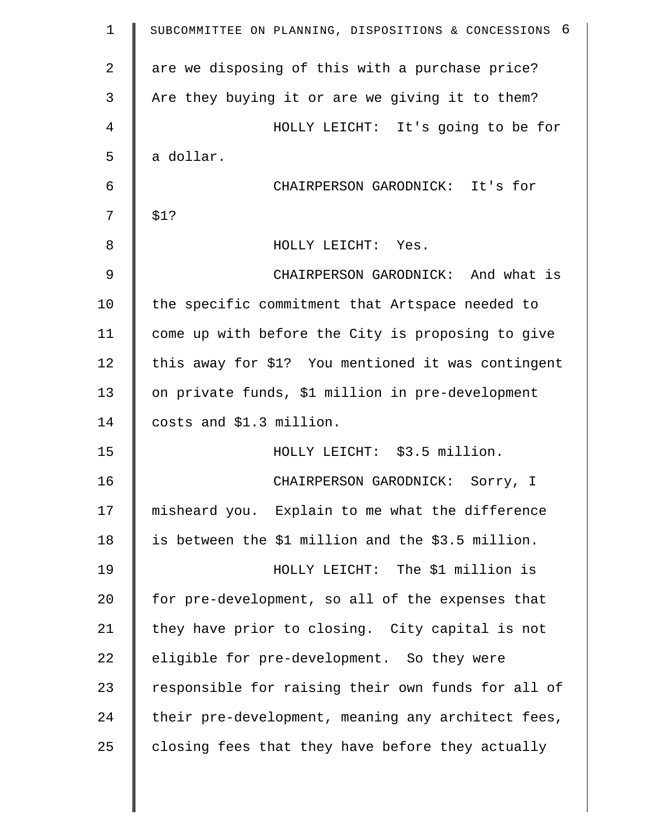| $\mathbf 1$    | SUBCOMMITTEE ON PLANNING, DISPOSITIONS & CONCESSIONS 6 |
|----------------|--------------------------------------------------------|
| $\overline{a}$ | are we disposing of this with a purchase price?        |
| 3              | Are they buying it or are we giving it to them?        |
| 4              | HOLLY LEICHT: It's going to be for                     |
| 5              | a dollar.                                              |
| 6              | CHAIRPERSON GARODNICK: It's for                        |
| 7              | \$1?                                                   |
| 8              | HOLLY LEICHT: Yes.                                     |
| 9              | CHAIRPERSON GARODNICK: And what is                     |
| 10             | the specific commitment that Artspace needed to        |
| 11             | come up with before the City is proposing to give      |
| 12             | this away for \$1? You mentioned it was contingent     |
| 13             | on private funds, \$1 million in pre-development       |
| 14             | costs and \$1.3 million.                               |
| 15             | HOLLY LEICHT: \$3.5 million.                           |
| 16             | CHAIRPERSON GARODNICK: Sorry, I                        |
| 17             | misheard you. Explain to me what the difference        |
| 18             | is between the \$1 million and the \$3.5 million.      |
| 19             | HOLLY LEICHT: The \$1 million is                       |
| 20             | for pre-development, so all of the expenses that       |
| 21             | they have prior to closing. City capital is not        |
| 22             | eligible for pre-development. So they were             |
| 23             | responsible for raising their own funds for all of     |
| 24             | their pre-development, meaning any architect fees,     |
| 25             | closing fees that they have before they actually       |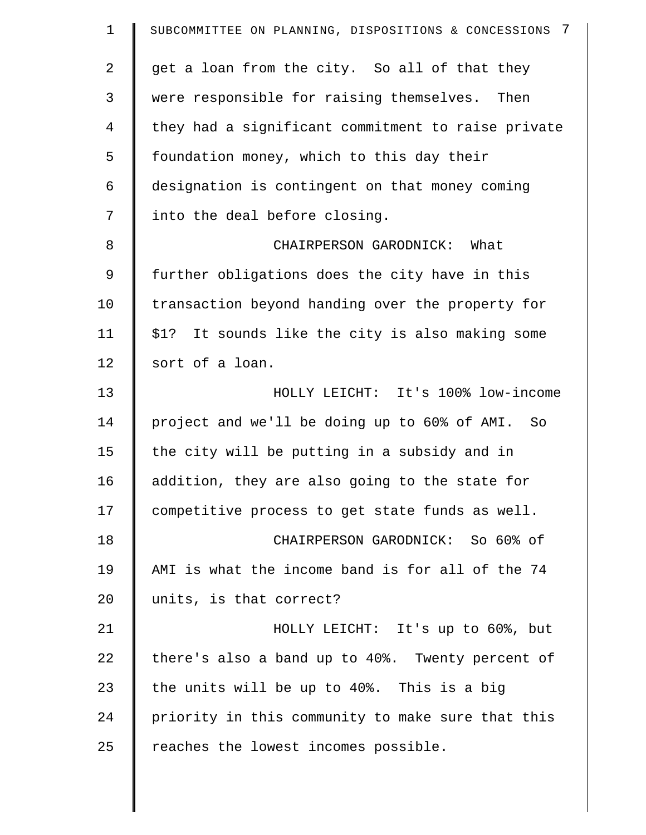| $\mathbf 1$    | 7<br>SUBCOMMITTEE ON PLANNING, DISPOSITIONS & CONCESSIONS |
|----------------|-----------------------------------------------------------|
| $\overline{a}$ | get a loan from the city. So all of that they             |
| 3              | were responsible for raising themselves. Then             |
| $\overline{4}$ | they had a significant commitment to raise private        |
| 5              | foundation money, which to this day their                 |
| 6              | designation is contingent on that money coming            |
| 7              | into the deal before closing.                             |
| 8              | CHAIRPERSON GARODNICK: What                               |
| 9              | further obligations does the city have in this            |
| 10             | transaction beyond handing over the property for          |
| 11             | \$1? It sounds like the city is also making some          |
| 12             | sort of a loan.                                           |
| 13             | HOLLY LEICHT: It's 100% low-income                        |
| 14             | project and we'll be doing up to 60% of AMI. So           |
| 15             | the city will be putting in a subsidy and in              |
| 16             | addition, they are also going to the state for            |
| 17             | competitive process to get state funds as well.           |
| 18             | CHAIRPERSON GARODNICK: So 60% of                          |
| 19             | AMI is what the income band is for all of the 74          |
| 20             | units, is that correct?                                   |
| 21             | HOLLY LEICHT: It's up to 60%, but                         |
| 22             | there's also a band up to 40%. Twenty percent of          |
| 23             | the units will be up to 40%. This is a big                |
| 24             | priority in this community to make sure that this         |
| 25             | reaches the lowest incomes possible.                      |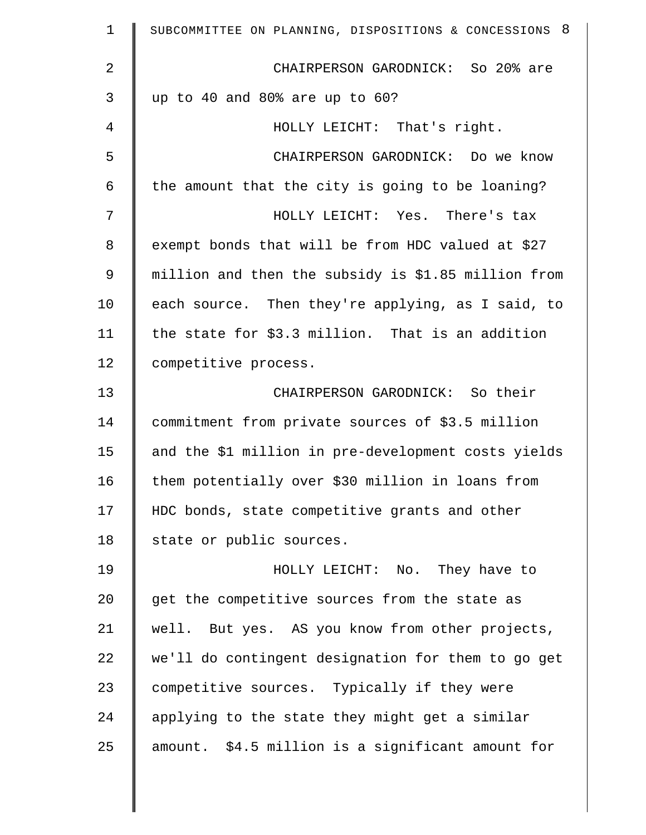| $\mathbf 1$ | SUBCOMMITTEE ON PLANNING, DISPOSITIONS & CONCESSIONS 8 |
|-------------|--------------------------------------------------------|
| 2           | CHAIRPERSON GARODNICK: So 20% are                      |
| 3           | up to 40 and 80% are up to 60?                         |
| 4           | HOLLY LEICHT: That's right.                            |
| 5           | CHAIRPERSON GARODNICK: Do we know                      |
| 6           | the amount that the city is going to be loaning?       |
| 7           | HOLLY LEICHT: Yes. There's tax                         |
| 8           | exempt bonds that will be from HDC valued at \$27      |
| 9           | million and then the subsidy is \$1.85 million from    |
| 10          | each source. Then they're applying, as I said, to      |
| 11          | the state for \$3.3 million. That is an addition       |
| 12          | competitive process.                                   |
| 13          | CHAIRPERSON GARODNICK: So their                        |
| 14          | commitment from private sources of \$3.5 million       |
| 15          | and the \$1 million in pre-development costs yields    |
| 16          | them potentially over \$30 million in loans from       |
| 17          | HDC bonds, state competitive grants and other          |
| 18          | state or public sources.                               |
| 19          | HOLLY LEICHT: No. They have to                         |
| 20          | get the competitive sources from the state as          |
| 21          | well. But yes. AS you know from other projects,        |
| 22          | we'll do contingent designation for them to go get     |
| 23          | competitive sources. Typically if they were            |
| 24          | applying to the state they might get a similar         |
| 25          | amount. \$4.5 million is a significant amount for      |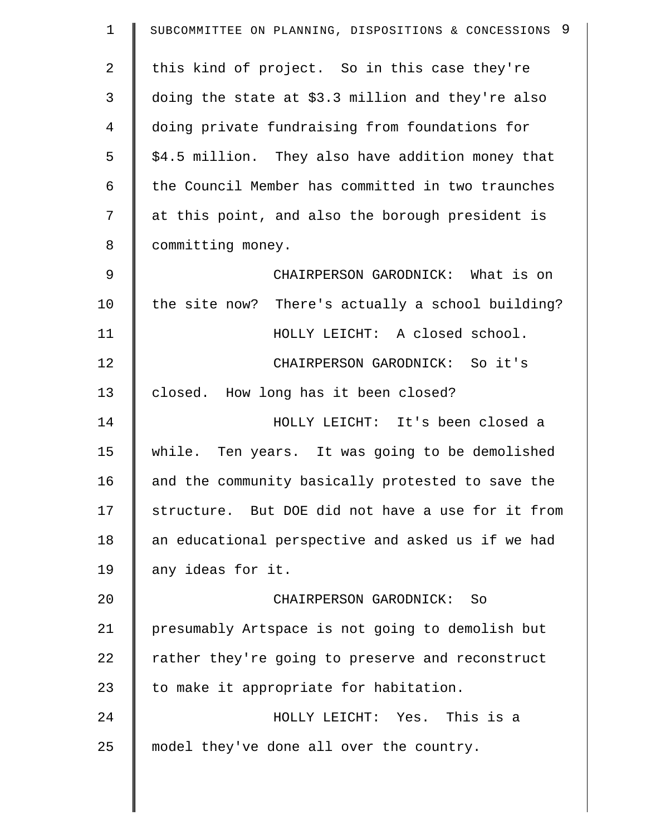| $\mathbf 1$    | SUBCOMMITTEE ON PLANNING, DISPOSITIONS & CONCESSIONS 9 |
|----------------|--------------------------------------------------------|
| $\overline{2}$ | this kind of project. So in this case they're          |
| 3              | doing the state at \$3.3 million and they're also      |
| 4              | doing private fundraising from foundations for         |
| 5              | \$4.5 million. They also have addition money that      |
| 6              | the Council Member has committed in two traunches      |
| 7              | at this point, and also the borough president is       |
| 8              | committing money.                                      |
| 9              | CHAIRPERSON GARODNICK: What is on                      |
| 10             | the site now? There's actually a school building?      |
| 11             | HOLLY LEICHT: A closed school.                         |
| 12             | CHAIRPERSON GARODNICK: So it's                         |
| 13             | closed. How long has it been closed?                   |
| 14             | HOLLY LEICHT: It's been closed a                       |
| 15             | while. Ten years. It was going to be demolished        |
| 16             | and the community basically protested to save the      |
| 17             | structure. But DOE did not have a use for it from      |
| 18             | an educational perspective and asked us if we had      |
| 19             | any ideas for it.                                      |
| 20             | CHAIRPERSON GARODNICK:<br>- So                         |
| 21             | presumably Artspace is not going to demolish but       |
| 22             | rather they're going to preserve and reconstruct       |
| 23             | to make it appropriate for habitation.                 |
| 24             | HOLLY LEICHT: Yes. This is a                           |
| 25             | model they've done all over the country.               |
|                |                                                        |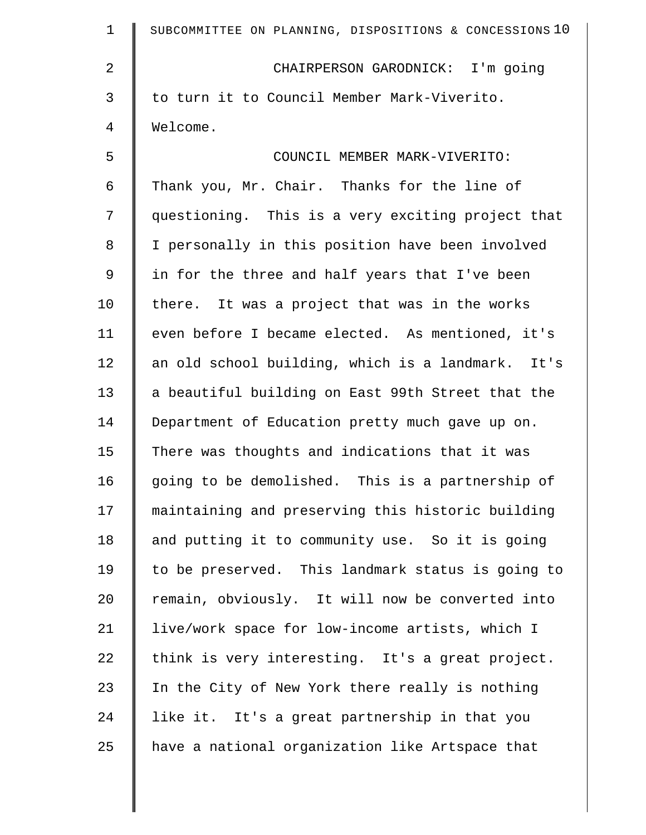| $\mathbf 1$    | SUBCOMMITTEE ON PLANNING, DISPOSITIONS & CONCESSIONS 10 |
|----------------|---------------------------------------------------------|
| $\overline{2}$ | CHAIRPERSON GARODNICK: I'm going                        |
| 3              | to turn it to Council Member Mark-Viverito.             |
| 4              | Welcome.                                                |
| 5              | COUNCIL MEMBER MARK-VIVERITO:                           |
| 6              | Thank you, Mr. Chair. Thanks for the line of            |
| 7              | questioning. This is a very exciting project that       |
| 8              | I personally in this position have been involved        |
| 9              | in for the three and half years that I've been          |
| 10             | there. It was a project that was in the works           |
| 11             | even before I became elected. As mentioned, it's        |
| 12             | an old school building, which is a landmark.<br>It's    |
| 13             | a beautiful building on East 99th Street that the       |
| 14             | Department of Education pretty much gave up on.         |
| 15             | There was thoughts and indications that it was          |
| 16             | going to be demolished. This is a partnership of        |
| 17             | maintaining and preserving this historic building       |
| 18             | and putting it to community use. So it is going         |
| 19             | to be preserved. This landmark status is going to       |
| 20             | remain, obviously. It will now be converted into        |
| 21             | live/work space for low-income artists, which I         |
| 22             | think is very interesting. It's a great project.        |
| 23             | In the City of New York there really is nothing         |
| 24             | like it. It's a great partnership in that you           |
| 25             | have a national organization like Artspace that         |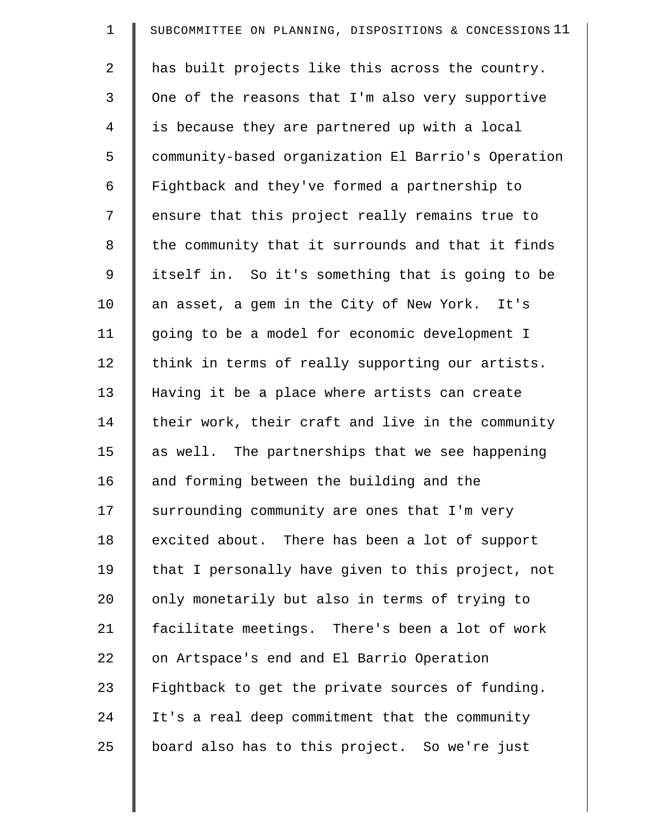| $\mathbf 1$ | SUBCOMMITTEE ON PLANNING, DISPOSITIONS & CONCESSIONS 11 |
|-------------|---------------------------------------------------------|
| 2           | has built projects like this across the country.        |
| 3           | One of the reasons that I'm also very supportive        |
| 4           | is because they are partnered up with a local           |
| 5           | community-based organization El Barrio's Operation      |
| 6           | Fightback and they've formed a partnership to           |
| 7           | ensure that this project really remains true to         |
| 8           | the community that it surrounds and that it finds       |
| 9           | itself in. So it's something that is going to be        |
| 10          | an asset, a gem in the City of New York. It's           |
| 11          | going to be a model for economic development I          |
| 12          | think in terms of really supporting our artists.        |
| 13          | Having it be a place where artists can create           |
| 14          | their work, their craft and live in the community       |
| 15          | as well. The partnerships that we see happening         |
| 16          | and forming between the building and the                |
| 17          | surrounding community are ones that I'm very            |
| 18          | excited about. There has been a lot of support          |
| 19          | that I personally have given to this project, not       |
| 20          | only monetarily but also in terms of trying to          |
| 21          | facilitate meetings. There's been a lot of work         |
| 22          | on Artspace's end and El Barrio Operation               |
| 23          | Fightback to get the private sources of funding.        |
| 24          | It's a real deep commitment that the community          |
| 25          | board also has to this project. So we're just           |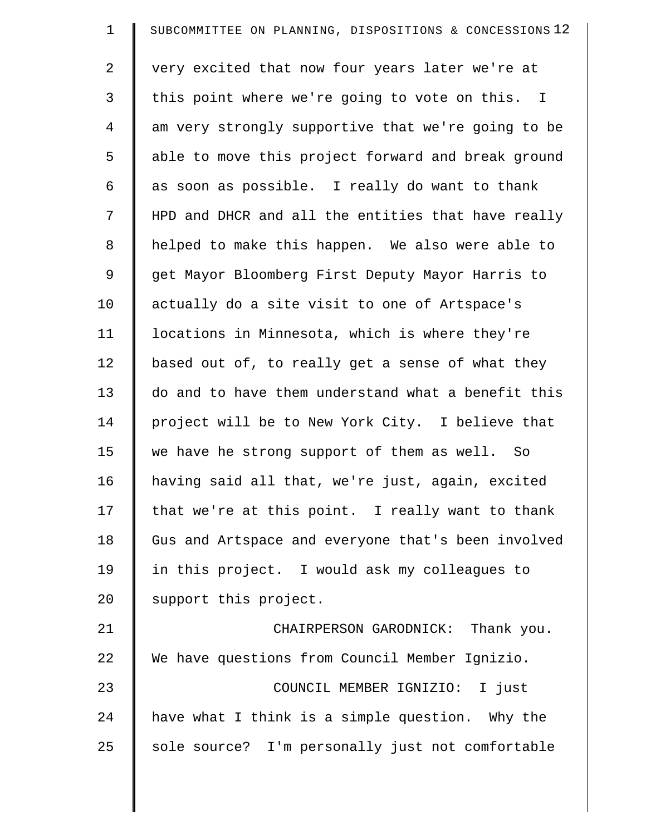| $\mathbf 1$    | SUBCOMMITTEE ON PLANNING, DISPOSITIONS & CONCESSIONS 12 |
|----------------|---------------------------------------------------------|
| $\overline{2}$ | very excited that now four years later we're at         |
| 3              | this point where we're going to vote on this. I         |
| $\overline{4}$ | am very strongly supportive that we're going to be      |
| 5              | able to move this project forward and break ground      |
| 6              | as soon as possible. I really do want to thank          |
| 7              | HPD and DHCR and all the entities that have really      |
| 8              | helped to make this happen. We also were able to        |
| $\mathsf 9$    | get Mayor Bloomberg First Deputy Mayor Harris to        |
| 10             | actually do a site visit to one of Artspace's           |
| 11             | locations in Minnesota, which is where they're          |
| 12             | based out of, to really get a sense of what they        |
| 13             | do and to have them understand what a benefit this      |
| 14             | project will be to New York City. I believe that        |
| 15             | we have he strong support of them as well. So           |
| 16             | having said all that, we're just, again, excited        |
| 17             | that we're at this point. I really want to thank        |
| 18             | Gus and Artspace and everyone that's been involved      |
| 19             | in this project. I would ask my colleagues to           |
| 20             | support this project.                                   |
| 21             | CHAIRPERSON GARODNICK: Thank you.                       |
| 22             | We have questions from Council Member Ignizio.          |
| 23             | COUNCIL MEMBER IGNIZIO: I just                          |
| 24             | have what I think is a simple question. Why the         |
| 25             | sole source? I'm personally just not comfortable        |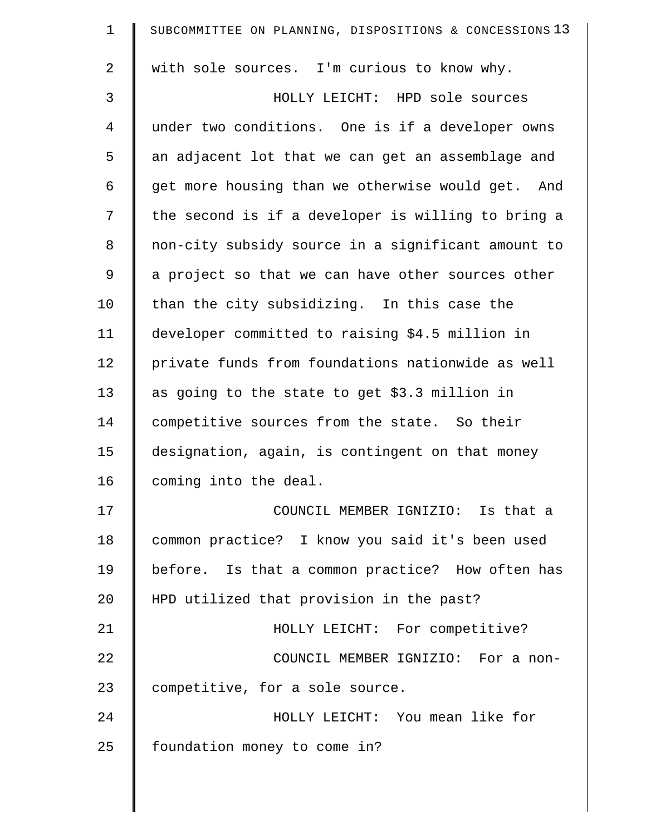| $\mathbf 1$    | SUBCOMMITTEE ON PLANNING, DISPOSITIONS & CONCESSIONS 13 |
|----------------|---------------------------------------------------------|
| $\overline{2}$ | with sole sources. I'm curious to know why.             |
| 3              | HOLLY LEICHT: HPD sole sources                          |
| $\overline{4}$ | under two conditions. One is if a developer owns        |
| 5              | an adjacent lot that we can get an assemblage and       |
| 6              | get more housing than we otherwise would get. And       |
| 7              | the second is if a developer is willing to bring a      |
| 8              | non-city subsidy source in a significant amount to      |
| 9              | a project so that we can have other sources other       |
| 10             | than the city subsidizing. In this case the             |
| 11             | developer committed to raising \$4.5 million in         |
| 12             | private funds from foundations nationwide as well       |
| 13             | as going to the state to get \$3.3 million in           |
| 14             | competitive sources from the state. So their            |
| 15             | designation, again, is contingent on that money         |
| 16             | coming into the deal.                                   |
| 17             | COUNCIL MEMBER IGNIZIO: Is that a                       |
| 18             | common practice? I know you said it's been used         |
| 19             | before. Is that a common practice? How often has        |
| 20             | HPD utilized that provision in the past?                |
| 21             | HOLLY LEICHT: For competitive?                          |
| 22             | COUNCIL MEMBER IGNIZIO: For a non-                      |
| 23             | competitive, for a sole source.                         |
| 24             | HOLLY LEICHT: You mean like for                         |
| 25             | foundation money to come in?                            |
|                |                                                         |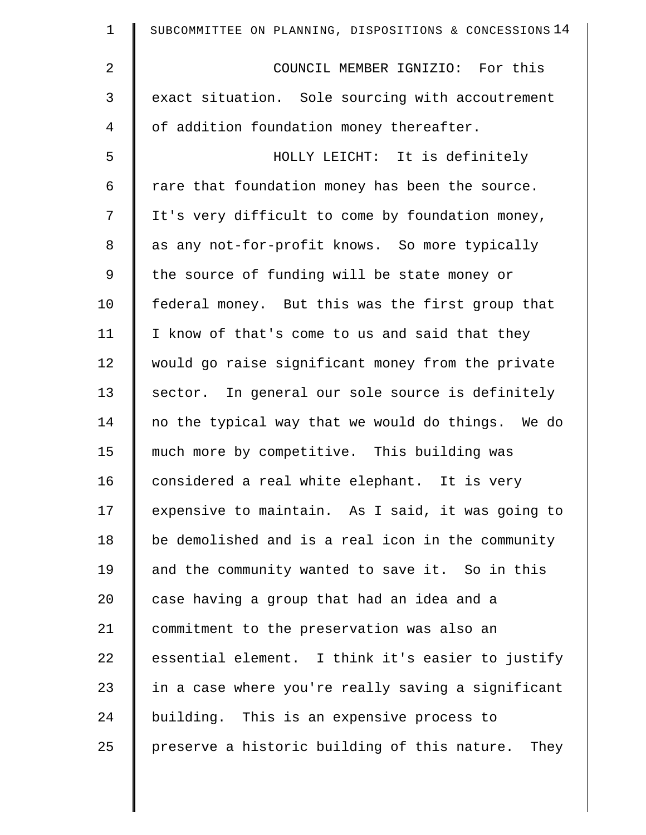| $\mathbf 1$    | SUBCOMMITTEE ON PLANNING, DISPOSITIONS & CONCESSIONS 14 |
|----------------|---------------------------------------------------------|
| $\overline{2}$ | COUNCIL MEMBER IGNIZIO: For this                        |
| 3              | exact situation. Sole sourcing with accoutrement        |
| 4              | of addition foundation money thereafter.                |
| 5              | HOLLY LEICHT: It is definitely                          |
| 6              | rare that foundation money has been the source.         |
| 7              | It's very difficult to come by foundation money,        |
| 8              | as any not-for-profit knows. So more typically          |
| 9              | the source of funding will be state money or            |
| 10             | federal money. But this was the first group that        |
| 11             | I know of that's come to us and said that they          |
| 12             | would go raise significant money from the private       |
| 13             | sector. In general our sole source is definitely        |
| 14             | no the typical way that we would do things. We do       |
| 15             | much more by competitive. This building was             |
| 16             | considered a real white elephant. It is very            |
| 17             | expensive to maintain. As I said, it was going to       |
| 18             | be demolished and is a real icon in the community       |
| 19             | and the community wanted to save it. So in this         |
| 20             | case having a group that had an idea and a              |
| 21             | commitment to the preservation was also an              |
| 22             | essential element. I think it's easier to justify       |
| 23             | in a case where you're really saving a significant      |
| 24             | building. This is an expensive process to               |
| 25             | preserve a historic building of this nature.<br>They    |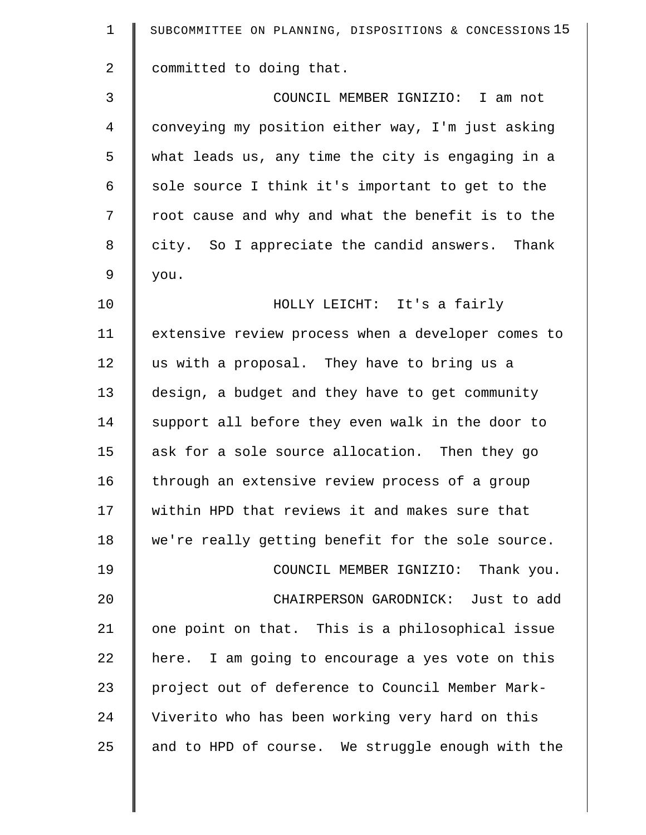| $\mathbf 1$    | SUBCOMMITTEE ON PLANNING, DISPOSITIONS & CONCESSIONS 15 |
|----------------|---------------------------------------------------------|
| $\overline{2}$ | committed to doing that.                                |
| 3              | COUNCIL MEMBER IGNIZIO: I am not                        |
| $\overline{4}$ | conveying my position either way, I'm just asking       |
| 5              | what leads us, any time the city is engaging in a       |
| 6              | sole source I think it's important to get to the        |
| 7              | root cause and why and what the benefit is to the       |
| 8              | city. So I appreciate the candid answers. Thank         |
| 9              | you.                                                    |
| 10             | HOLLY LEICHT: It's a fairly                             |
| 11             | extensive review process when a developer comes to      |
| 12             | us with a proposal. They have to bring us a             |
| 13             | design, a budget and they have to get community         |
| 14             | support all before they even walk in the door to        |
| 15             | ask for a sole source allocation. Then they go          |
| 16             | through an extensive review process of a group          |
| 17             | within HPD that reviews it and makes sure that          |
| 18             | we're really getting benefit for the sole source.       |
| 19             | COUNCIL MEMBER IGNIZIO: Thank you.                      |
| 20             | CHAIRPERSON GARODNICK: Just to add                      |
| 21             | one point on that. This is a philosophical issue        |
| 22             | here. I am going to encourage a yes vote on this        |
| 23             | project out of deference to Council Member Mark-        |
| 24             | Viverito who has been working very hard on this         |
| 25             | and to HPD of course. We struggle enough with the       |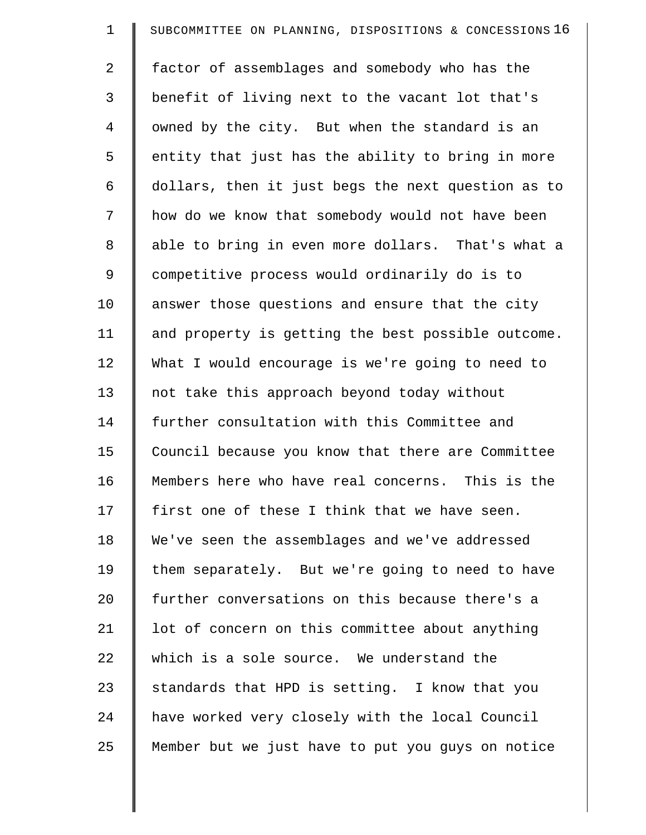| $\mathbf 1$ | SUBCOMMITTEE ON PLANNING, DISPOSITIONS & CONCESSIONS 16 |
|-------------|---------------------------------------------------------|
| 2           | factor of assemblages and somebody who has the          |
| 3           | benefit of living next to the vacant lot that's         |
| 4           | owned by the city. But when the standard is an          |
| 5           | entity that just has the ability to bring in more       |
| 6           | dollars, then it just begs the next question as to      |
| 7           | how do we know that somebody would not have been        |
| 8           | able to bring in even more dollars. That's what a       |
| 9           | competitive process would ordinarily do is to           |
| 10          | answer those questions and ensure that the city         |
| 11          | and property is getting the best possible outcome.      |
| 12          | What I would encourage is we're going to need to        |
| 13          | not take this approach beyond today without             |
| 14          | further consultation with this Committee and            |
| 15          | Council because you know that there are Committee       |
| 16          | Members here who have real concerns. This is the        |
| 17          | first one of these I think that we have seen.           |
| 18          | We've seen the assemblages and we've addressed          |
| 19          | them separately. But we're going to need to have        |
| 20          | further conversations on this because there's a         |
| 21          | lot of concern on this committee about anything         |
| 22          | which is a sole source. We understand the               |
| 23          | standards that HPD is setting. I know that you          |
| 24          | have worked very closely with the local Council         |
| 25          | Member but we just have to put you guys on notice       |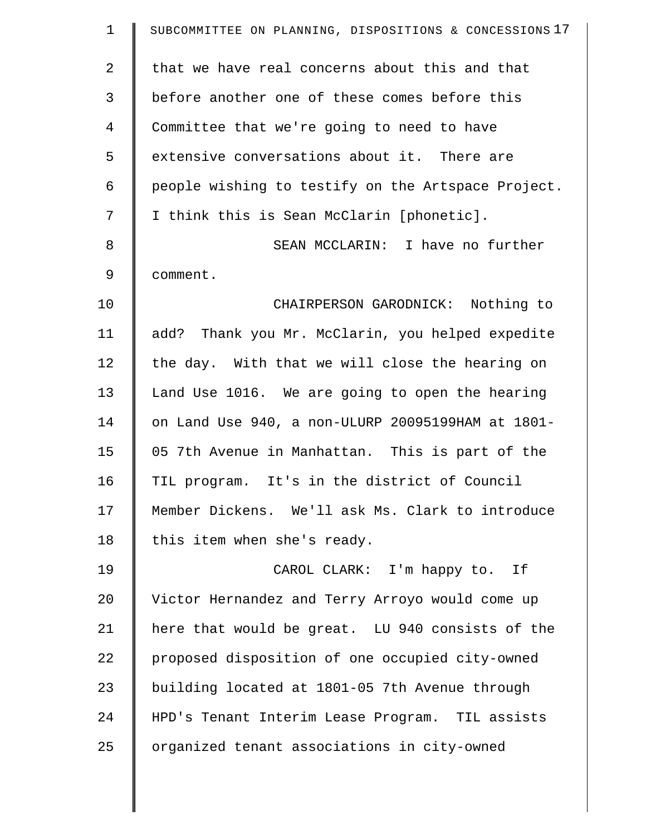| $\mathbf 1$    | SUBCOMMITTEE ON PLANNING, DISPOSITIONS & CONCESSIONS 17 |
|----------------|---------------------------------------------------------|
| $\overline{a}$ | that we have real concerns about this and that          |
| 3              | before another one of these comes before this           |
| 4              | Committee that we're going to need to have              |
| 5              | extensive conversations about it. There are             |
| 6              | people wishing to testify on the Artspace Project.      |
| 7              | I think this is Sean McClarin [phonetic].               |
| 8              | SEAN MCCLARIN: I have no further                        |
| 9              | comment.                                                |
| 10             | CHAIRPERSON GARODNICK: Nothing to                       |
| 11             | add? Thank you Mr. McClarin, you helped expedite        |
| 12             | the day. With that we will close the hearing on         |
| 13             | Land Use 1016. We are going to open the hearing         |
| 14             | on Land Use 940, a non-ULURP 20095199HAM at 1801-       |
| 15             | 05 7th Avenue in Manhattan. This is part of the         |
| 16             | TIL program. It's in the district of Council            |
| 17             | Member Dickens. We'll ask Ms. Clark to introduce        |
| 18             | this item when she's ready.                             |
| 19             | CAROL CLARK: I'm happy to. If                           |
| 20             | Victor Hernandez and Terry Arroyo would come up         |
| 21             | here that would be great. LU 940 consists of the        |
| 22             | proposed disposition of one occupied city-owned         |
| 23             | building located at 1801-05 7th Avenue through          |
| 24             | HPD's Tenant Interim Lease Program. TIL assists         |
| 25             | organized tenant associations in city-owned             |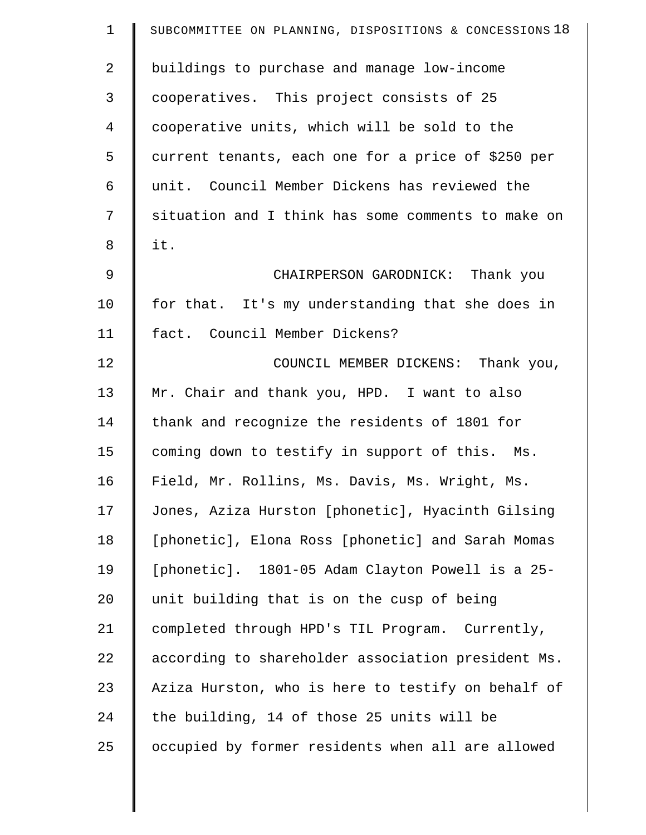| $\mathbf 1$    | SUBCOMMITTEE ON PLANNING, DISPOSITIONS & CONCESSIONS 18 |
|----------------|---------------------------------------------------------|
| $\overline{a}$ | buildings to purchase and manage low-income             |
| 3              | cooperatives. This project consists of 25               |
| $\overline{4}$ | cooperative units, which will be sold to the            |
| 5              | current tenants, each one for a price of \$250 per      |
| 6              | unit. Council Member Dickens has reviewed the           |
| 7              | situation and I think has some comments to make on      |
| 8              | it.                                                     |
| 9              | CHAIRPERSON GARODNICK: Thank you                        |
| 10             | for that. It's my understanding that she does in        |
| 11             | fact. Council Member Dickens?                           |
| 12             | COUNCIL MEMBER DICKENS: Thank you,                      |
| 13             | Mr. Chair and thank you, HPD. I want to also            |
| 14             | thank and recognize the residents of 1801 for           |
| 15             | coming down to testify in support of this. Ms.          |
| 16             | Field, Mr. Rollins, Ms. Davis, Ms. Wright, Ms.          |
| 17             | Jones, Aziza Hurston [phonetic], Hyacinth Gilsing       |
| 18             | [phonetic], Elona Ross [phonetic] and Sarah Momas       |
| 19             | [phonetic]. 1801-05 Adam Clayton Powell is a 25-        |
| 20             | unit building that is on the cusp of being              |
| 21             | completed through HPD's TIL Program. Currently,         |
| 22             | according to shareholder association president Ms.      |
| 23             | Aziza Hurston, who is here to testify on behalf of      |
| 24             | the building, 14 of those 25 units will be              |
| 25             | occupied by former residents when all are allowed       |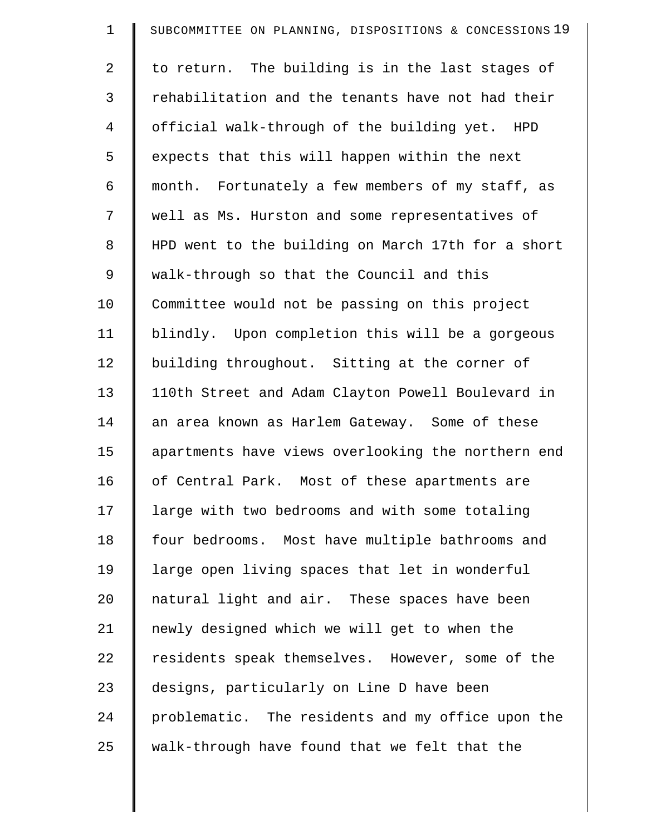| $\mathbf 1$ | SUBCOMMITTEE ON PLANNING, DISPOSITIONS & CONCESSIONS 19 |
|-------------|---------------------------------------------------------|
| 2           | to return. The building is in the last stages of        |
| 3           | rehabilitation and the tenants have not had their       |
| 4           | official walk-through of the building yet. HPD          |
| 5           | expects that this will happen within the next           |
| 6           | month. Fortunately a few members of my staff, as        |
| 7           | well as Ms. Hurston and some representatives of         |
| $\,8\,$     | HPD went to the building on March 17th for a short      |
| 9           | walk-through so that the Council and this               |
| 10          | Committee would not be passing on this project          |
| 11          | blindly. Upon completion this will be a gorgeous        |
| 12          | building throughout. Sitting at the corner of           |
| 13          | 110th Street and Adam Clayton Powell Boulevard in       |
| 14          | an area known as Harlem Gateway. Some of these          |
| 15          | apartments have views overlooking the northern end      |
| 16          | of Central Park. Most of these apartments are           |
| 17          | large with two bedrooms and with some totaling          |
| 18          | four bedrooms. Most have multiple bathrooms and         |
| 19          | large open living spaces that let in wonderful          |
| 20          | natural light and air. These spaces have been           |
| 21          | newly designed which we will get to when the            |
| 22          | residents speak themselves. However, some of the        |
| 23          | designs, particularly on Line D have been               |
| 24          | problematic. The residents and my office upon the       |
| 25          | walk-through have found that we felt that the           |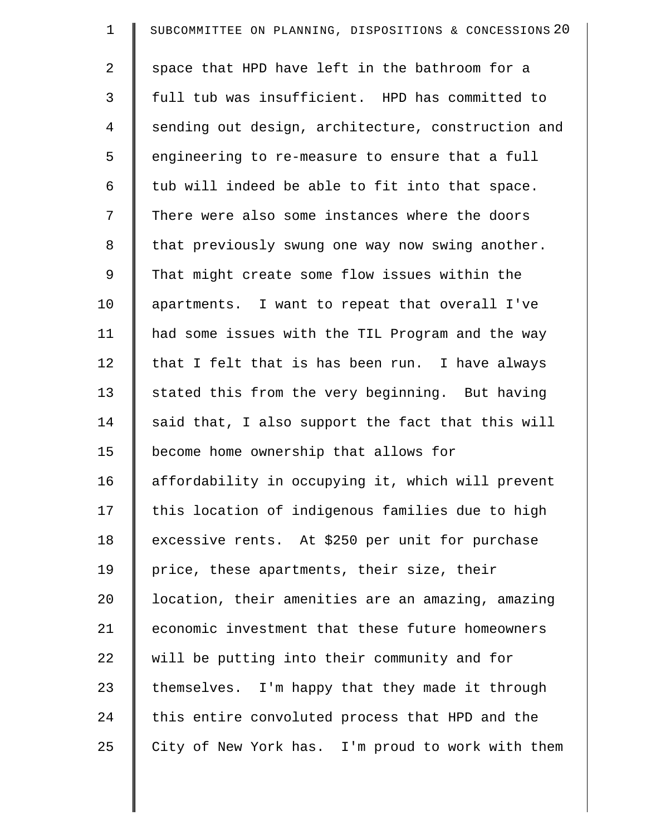| $\mathbf 1$ | SUBCOMMITTEE ON PLANNING, DISPOSITIONS & CONCESSIONS 20 |
|-------------|---------------------------------------------------------|
| 2           | space that HPD have left in the bathroom for a          |
| 3           | full tub was insufficient. HPD has committed to         |
| 4           | sending out design, architecture, construction and      |
| 5           | engineering to re-measure to ensure that a full         |
| 6           | tub will indeed be able to fit into that space.         |
| 7           | There were also some instances where the doors          |
| 8           | that previously swung one way now swing another.        |
| 9           | That might create some flow issues within the           |
| 10          | apartments. I want to repeat that overall I've          |
| 11          | had some issues with the TIL Program and the way        |
| 12          | that I felt that is has been run. I have always         |
| 13          | stated this from the very beginning. But having         |
| 14          | said that, I also support the fact that this will       |
| 15          | become home ownership that allows for                   |
| 16          | affordability in occupying it, which will prevent       |
| 17          | this location of indigenous families due to high        |
| 18          | excessive rents. At \$250 per unit for purchase         |
| 19          | price, these apartments, their size, their              |
| 20          | location, their amenities are an amazing, amazing       |
| 21          | economic investment that these future homeowners        |
| 22          | will be putting into their community and for            |
| 23          | themselves. I'm happy that they made it through         |
| 24          | this entire convoluted process that HPD and the         |
| 25          | City of New York has. I'm proud to work with them       |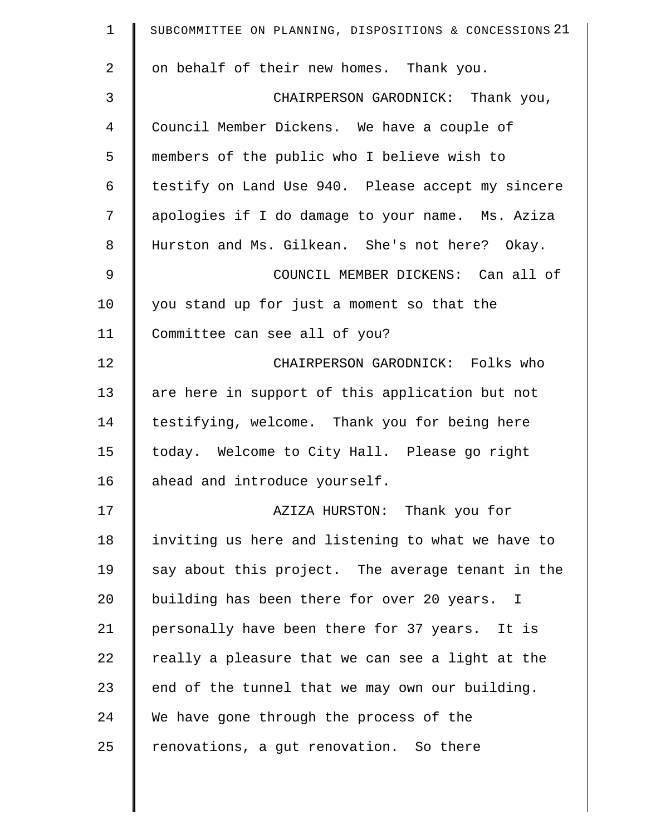| $\mathbf 1$    | SUBCOMMITTEE ON PLANNING, DISPOSITIONS & CONCESSIONS 21 |
|----------------|---------------------------------------------------------|
| $\overline{2}$ | on behalf of their new homes. Thank you.                |
| 3              | CHAIRPERSON GARODNICK: Thank you,                       |
| 4              | Council Member Dickens. We have a couple of             |
| 5              | members of the public who I believe wish to             |
| 6              | testify on Land Use 940. Please accept my sincere       |
| 7              | apologies if I do damage to your name. Ms. Aziza        |
| 8              | Hurston and Ms. Gilkean. She's not here? Okay.          |
| 9              | COUNCIL MEMBER DICKENS: Can all of                      |
| 10             | you stand up for just a moment so that the              |
| 11             | Committee can see all of you?                           |
| 12             | CHAIRPERSON GARODNICK: Folks who                        |
| 13             | are here in support of this application but not         |
| 14             | testifying, welcome. Thank you for being here           |
| 15             | today. Welcome to City Hall. Please go right            |
| 16             | ahead and introduce yourself.                           |
| 17             | AZIZA HURSTON: Thank you for                            |
| 18             | inviting us here and listening to what we have to       |
| 19             | say about this project. The average tenant in the       |
| 20             | building has been there for over 20 years. I            |
| 21             | personally have been there for 37 years. It is          |
| 22             | really a pleasure that we can see a light at the        |
| 23             | end of the tunnel that we may own our building.         |
| 24             | We have gone through the process of the                 |
| 25             | renovations, a gut renovation. So there                 |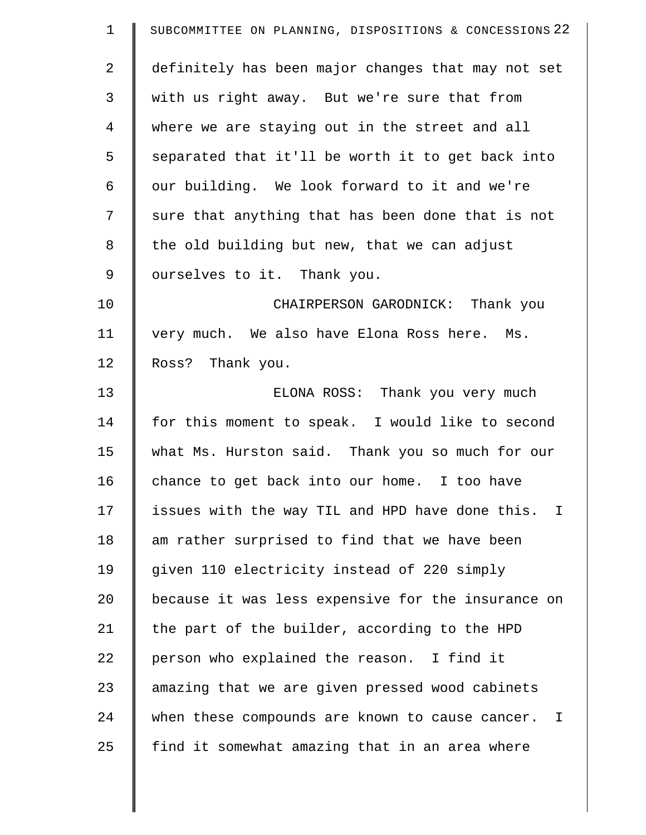| $\mathbf{1}$   | SUBCOMMITTEE ON PLANNING, DISPOSITIONS & CONCESSIONS 22        |
|----------------|----------------------------------------------------------------|
| $\overline{2}$ | definitely has been major changes that may not set             |
| 3              | with us right away. But we're sure that from                   |
| $\overline{4}$ | where we are staying out in the street and all                 |
| 5              | separated that it'll be worth it to get back into              |
| 6              | our building. We look forward to it and we're                  |
| 7              | sure that anything that has been done that is not              |
| 8              | the old building but new, that we can adjust                   |
| 9              | ourselves to it. Thank you.                                    |
| 10             | CHAIRPERSON GARODNICK: Thank you                               |
| 11             | very much. We also have Elona Ross here. Ms.                   |
| 12             | Ross? Thank you.                                               |
| 13             | ELONA ROSS: Thank you very much                                |
| 14             | for this moment to speak. I would like to second               |
| 15             | what Ms. Hurston said. Thank you so much for our               |
| 16             | chance to get back into our home. I too have                   |
| 17             | issues with the way TIL and HPD have done this.<br>$\mathbf I$ |
| 18             | am rather surprised to find that we have been                  |
| 19             | given 110 electricity instead of 220 simply                    |
| 20             | because it was less expensive for the insurance on             |
| 21             | the part of the builder, according to the HPD                  |
| 22             | person who explained the reason. I find it                     |
| 23             | amazing that we are given pressed wood cabinets                |
| 24             | when these compounds are known to cause cancer.<br>I           |
| 25             | find it somewhat amazing that in an area where                 |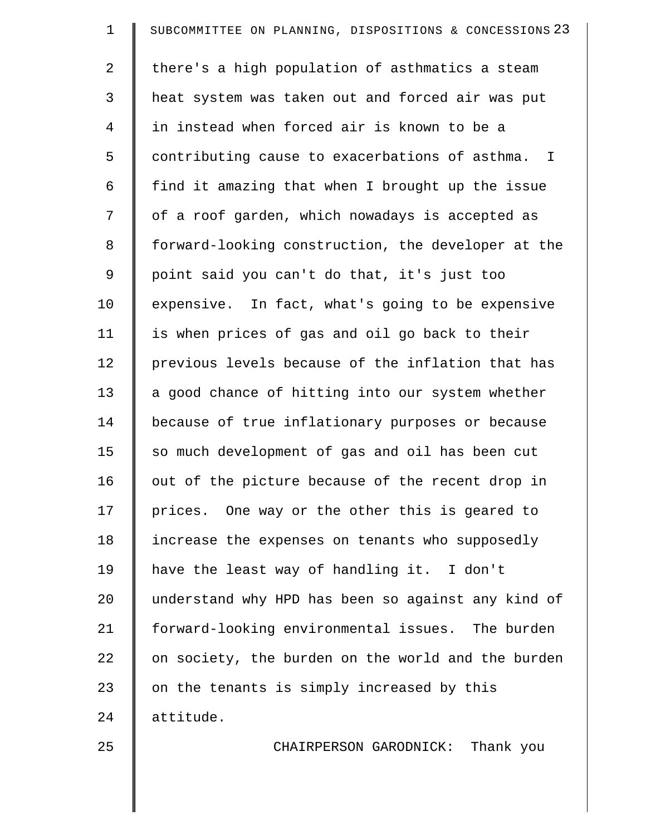| $\mathbf 1$ | SUBCOMMITTEE ON PLANNING, DISPOSITIONS & CONCESSIONS 23 |
|-------------|---------------------------------------------------------|
| 2           | there's a high population of asthmatics a steam         |
| 3           | heat system was taken out and forced air was put        |
| 4           | in instead when forced air is known to be a             |
| 5           | contributing cause to exacerbations of asthma. I        |
| 6           | find it amazing that when I brought up the issue        |
| 7           | of a roof garden, which nowadays is accepted as         |
| 8           | forward-looking construction, the developer at the      |
| 9           | point said you can't do that, it's just too             |
| 10          | expensive. In fact, what's going to be expensive        |
| 11          | is when prices of gas and oil go back to their          |
| 12          | previous levels because of the inflation that has       |
| 13          | a good chance of hitting into our system whether        |
| 14          | because of true inflationary purposes or because        |
| 15          | so much development of gas and oil has been cut         |
| 16          | out of the picture because of the recent drop in        |
| 17          | prices. One way or the other this is geared to          |
| 18          | increase the expenses on tenants who supposedly         |
| 19          | have the least way of handling it. I don't              |
| 20          | understand why HPD has been so against any kind of      |
| 21          | forward-looking environmental issues. The burden        |
| 22          | on society, the burden on the world and the burden      |
| 23          | on the tenants is simply increased by this              |
| 24          | attitude.                                               |
| 25          | CHAIRPERSON GARODNICK: Thank you                        |
|             |                                                         |

 $\parallel$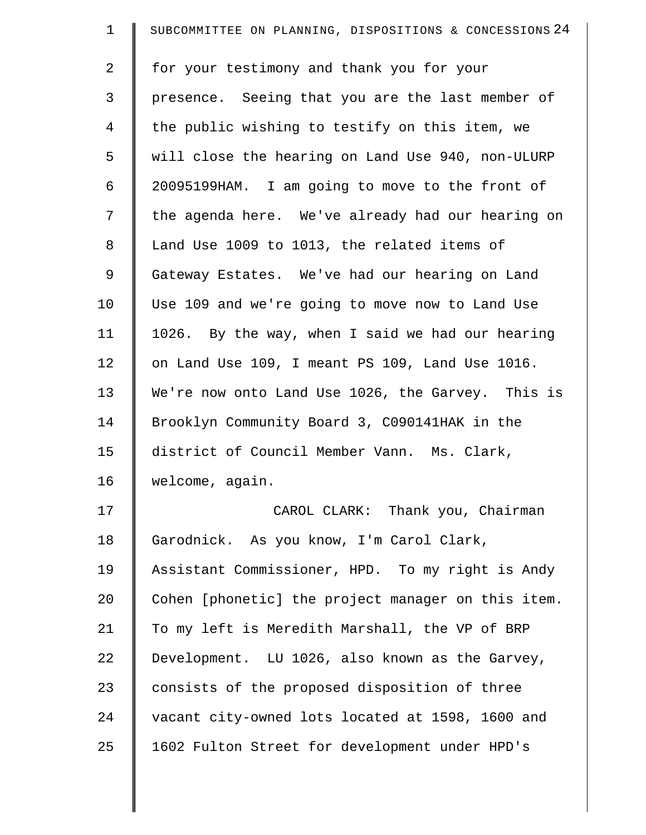| $\mathbf 1$    | SUBCOMMITTEE ON PLANNING, DISPOSITIONS & CONCESSIONS 24 |
|----------------|---------------------------------------------------------|
| $\overline{2}$ | for your testimony and thank you for your               |
| 3              | presence. Seeing that you are the last member of        |
| $\overline{4}$ | the public wishing to testify on this item, we          |
| 5              | will close the hearing on Land Use 940, non-ULURP       |
| 6              | 20095199HAM. I am going to move to the front of         |
| 7              | the agenda here. We've already had our hearing on       |
| 8              | Land Use 1009 to 1013, the related items of             |
| 9              | Gateway Estates. We've had our hearing on Land          |
| 10             | Use 109 and we're going to move now to Land Use         |
| 11             | 1026. By the way, when I said we had our hearing        |
| 12             | on Land Use 109, I meant PS 109, Land Use 1016.         |
| 13             | We're now onto Land Use 1026, the Garvey. This is       |
| 14             | Brooklyn Community Board 3, C090141HAK in the           |
| 15             | district of Council Member Vann. Ms. Clark,             |
| 16             | welcome, again.                                         |
| 17             | CAROL CLARK: Thank you, Chairman                        |
| 18             | Garodnick. As you know, I'm Carol Clark,                |
| 19             | Assistant Commissioner, HPD. To my right is Andy        |
| 20             | Cohen [phonetic] the project manager on this item.      |
| 21             | To my left is Meredith Marshall, the VP of BRP          |
| 22             | Development. LU 1026, also known as the Garvey,         |
| 23             | consists of the proposed disposition of three           |
| 24             | vacant city-owned lots located at 1598, 1600 and        |
| 25             | 1602 Fulton Street for development under HPD's          |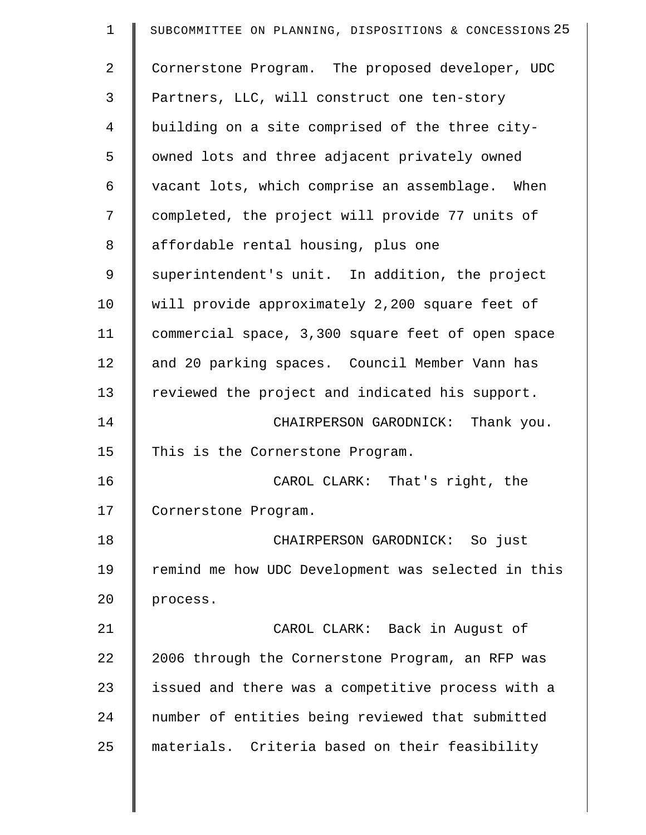| $\mathbf 1$    | SUBCOMMITTEE ON PLANNING, DISPOSITIONS & CONCESSIONS 25 |
|----------------|---------------------------------------------------------|
| $\overline{a}$ | Cornerstone Program. The proposed developer, UDC        |
| 3              | Partners, LLC, will construct one ten-story             |
| $\overline{4}$ | building on a site comprised of the three city-         |
| 5              | owned lots and three adjacent privately owned           |
| 6              | vacant lots, which comprise an assemblage. When         |
| 7              | completed, the project will provide 77 units of         |
| 8              | affordable rental housing, plus one                     |
| 9              | superintendent's unit. In addition, the project         |
| 10             | will provide approximately 2,200 square feet of         |
| 11             | commercial space, 3,300 square feet of open space       |
| 12             | and 20 parking spaces. Council Member Vann has          |
| 13             | reviewed the project and indicated his support.         |
| 14             | CHAIRPERSON GARODNICK:<br>Thank you.                    |
| 15             | This is the Cornerstone Program.                        |
| 16             | CAROL CLARK: That's right, the                          |
| 17             | Cornerstone Program.                                    |
| 18             | CHAIRPERSON GARODNICK: So just                          |
| 19             | remind me how UDC Development was selected in this      |
| 20             | process.                                                |
| 21             | CAROL CLARK: Back in August of                          |
| 22             | 2006 through the Cornerstone Program, an RFP was        |
| 23             | issued and there was a competitive process with a       |
| 24             | number of entities being reviewed that submitted        |
| 25             | materials. Criteria based on their feasibility          |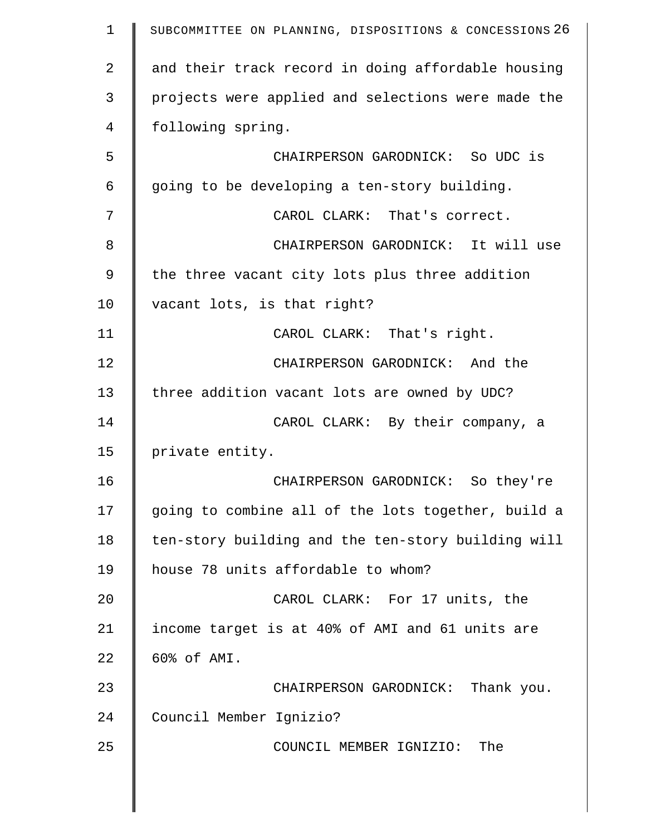| $\mathbf 1$ | SUBCOMMITTEE ON PLANNING, DISPOSITIONS & CONCESSIONS 26 |
|-------------|---------------------------------------------------------|
| 2           | and their track record in doing affordable housing      |
| 3           | projects were applied and selections were made the      |
| 4           | following spring.                                       |
| 5           | CHAIRPERSON GARODNICK: So UDC is                        |
| 6           | going to be developing a ten-story building.            |
| 7           | CAROL CLARK: That's correct.                            |
| 8           | CHAIRPERSON GARODNICK: It will use                      |
| 9           | the three vacant city lots plus three addition          |
| 10          | vacant lots, is that right?                             |
| 11          | CAROL CLARK: That's right.                              |
| 12          | CHAIRPERSON GARODNICK: And the                          |
| 13          | three addition vacant lots are owned by UDC?            |
| 14          | CAROL CLARK: By their company, a                        |
| 15          | private entity.                                         |
| 16          | CHAIRPERSON GARODNICK: So they're                       |
| 17          | going to combine all of the lots together, build a      |
| 18          | ten-story building and the ten-story building will      |
| 19          | house 78 units affordable to whom?                      |
| 20          | CAROL CLARK: For 17 units, the                          |
| 21          | income target is at 40% of AMI and 61 units are         |
| 22          | 60% of AMI.                                             |
| 23          | CHAIRPERSON GARODNICK: Thank you.                       |
| 24          | Council Member Ignizio?                                 |
| 25          | COUNCIL MEMBER IGNIZIO: The                             |
|             |                                                         |
|             |                                                         |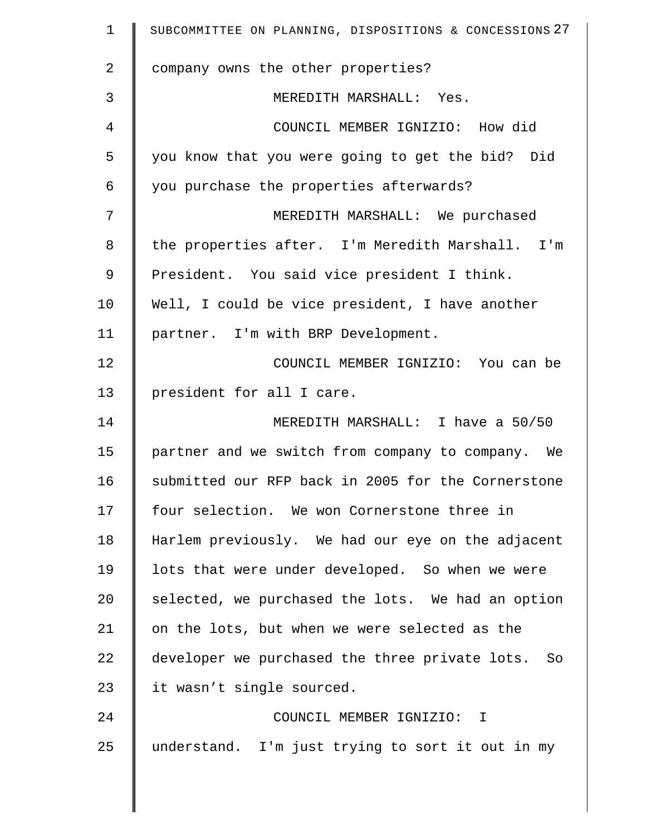| $\mathbf 1$    | SUBCOMMITTEE ON PLANNING, DISPOSITIONS & CONCESSIONS 27 |
|----------------|---------------------------------------------------------|
| $\overline{2}$ | company owns the other properties?                      |
| 3              | MEREDITH MARSHALL: Yes.                                 |
| 4              | COUNCIL MEMBER IGNIZIO: How did                         |
| 5              | you know that you were going to get the bid? Did        |
| 6              | you purchase the properties afterwards?                 |
| 7              | MEREDITH MARSHALL: We purchased                         |
| 8              | the properties after. I'm Meredith Marshall. I'm        |
| 9              | President. You said vice president I think.             |
| 10             | Well, I could be vice president, I have another         |
| 11             | partner. I'm with BRP Development.                      |
| 12             | COUNCIL MEMBER IGNIZIO: You can be                      |
| 13             | president for all I care.                               |
| 14             | MEREDITH MARSHALL: I have a 50/50                       |
| 15             | partner and we switch from company to company. We       |
| 16             | submitted our RFP back in 2005 for the Cornerstone      |
| 17             | four selection. We won Cornerstone three in             |
| 18             | Harlem previously. We had our eye on the adjacent       |
| 19             | lots that were under developed. So when we were         |
| 20             | selected, we purchased the lots. We had an option       |
| 21             | on the lots, but when we were selected as the           |
| 22             | developer we purchased the three private lots. So       |
| 23             | it wasn't single sourced.                               |
| 24             | COUNCIL MEMBER IGNIZIO: I                               |
| 25             | understand. I'm just trying to sort it out in my        |
|                |                                                         |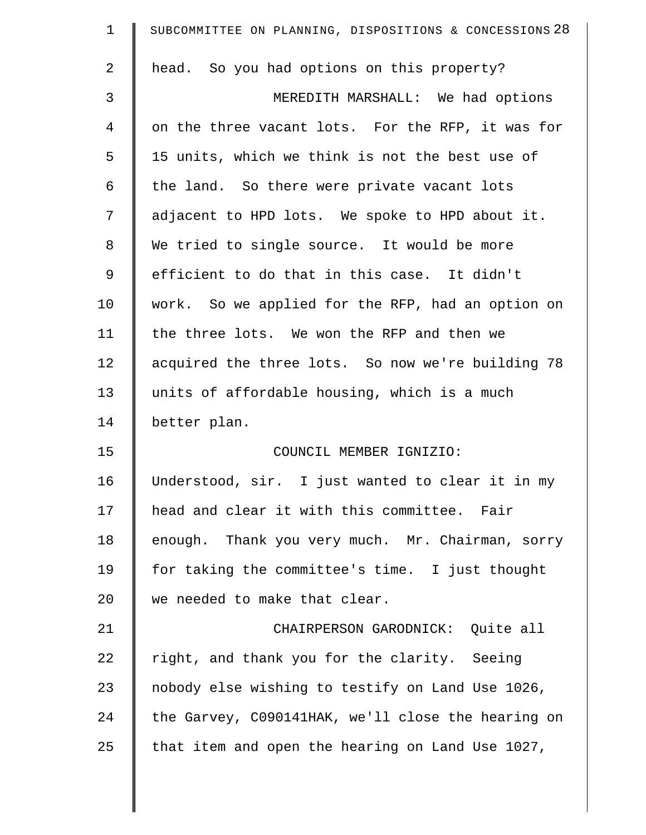| $\mathbf 1$    | SUBCOMMITTEE ON PLANNING, DISPOSITIONS & CONCESSIONS 28 |
|----------------|---------------------------------------------------------|
| 2              | head. So you had options on this property?              |
| 3              | MEREDITH MARSHALL: We had options                       |
| $\overline{4}$ | on the three vacant lots. For the RFP, it was for       |
| 5              | 15 units, which we think is not the best use of         |
| 6              | the land. So there were private vacant lots             |
| 7              | adjacent to HPD lots. We spoke to HPD about it.         |
| 8              | We tried to single source. It would be more             |
| 9              | efficient to do that in this case. It didn't            |
| 10             | work. So we applied for the RFP, had an option on       |
| 11             | the three lots. We won the RFP and then we              |
| 12             | acquired the three lots. So now we're building 78       |
| 13             | units of affordable housing, which is a much            |
| 14             | better plan.                                            |
| 15             | COUNCIL MEMBER IGNIZIO:                                 |
| 16             | Understood, sir. I just wanted to clear it in my        |
| 17             | head and clear it with this committee. Fair             |
| 18             | enough. Thank you very much. Mr. Chairman, sorry        |
| 19             | for taking the committee's time. I just thought         |
| 20             | we needed to make that clear.                           |
| 21             | CHAIRPERSON GARODNICK: Quite all                        |
| 22             | right, and thank you for the clarity. Seeing            |
| 23             | nobody else wishing to testify on Land Use 1026,        |
| 24             | the Garvey, C090141HAK, we'll close the hearing on      |
| 25             | that item and open the hearing on Land Use 1027,        |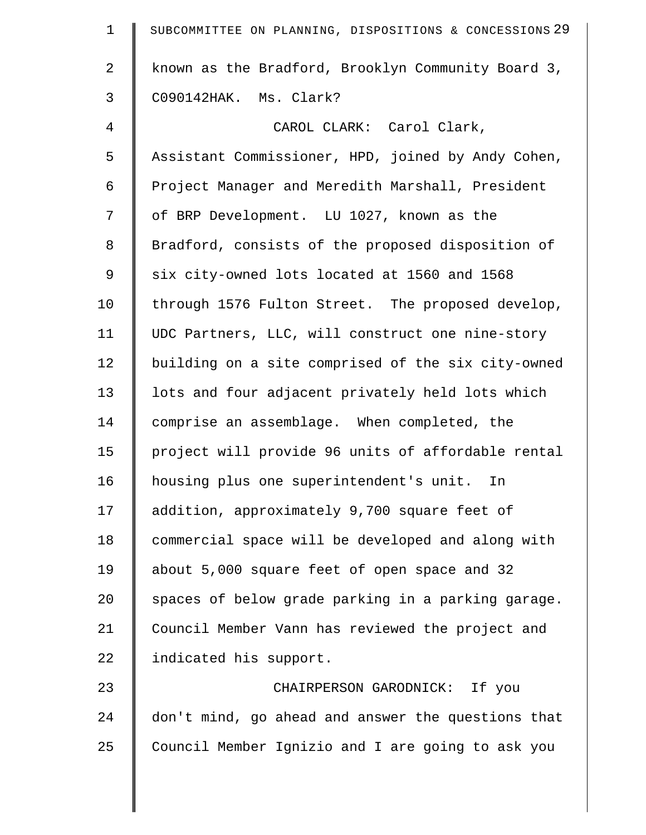| $\mathbf 1$ | SUBCOMMITTEE ON PLANNING, DISPOSITIONS & CONCESSIONS 29 |
|-------------|---------------------------------------------------------|
| 2           | known as the Bradford, Brooklyn Community Board 3,      |
| 3           | C090142HAK. Ms. Clark?                                  |
| 4           | CAROL CLARK: Carol Clark,                               |
| 5           | Assistant Commissioner, HPD, joined by Andy Cohen,      |
| 6           | Project Manager and Meredith Marshall, President        |
| 7           | of BRP Development. LU 1027, known as the               |
| 8           | Bradford, consists of the proposed disposition of       |
| 9           | six city-owned lots located at 1560 and 1568            |
| 10          | through 1576 Fulton Street. The proposed develop,       |
| 11          | UDC Partners, LLC, will construct one nine-story        |
| 12          | building on a site comprised of the six city-owned      |
| 13          | lots and four adjacent privately held lots which        |
| 14          | comprise an assemblage. When completed, the             |
| 15          | project will provide 96 units of affordable rental      |
| 16          | housing plus one superintendent's unit. In              |
| 17          | addition, approximately 9,700 square feet of            |
| 18          | commercial space will be developed and along with       |
| 19          | about 5,000 square feet of open space and 32            |
| 20          | spaces of below grade parking in a parking garage.      |
| 21          | Council Member Vann has reviewed the project and        |
| 22          | indicated his support.                                  |
| 23          | CHAIRPERSON GARODNICK: If you                           |
| 24          | don't mind, go ahead and answer the questions that      |
| 25          | Council Member Ignizio and I are going to ask you       |
|             |                                                         |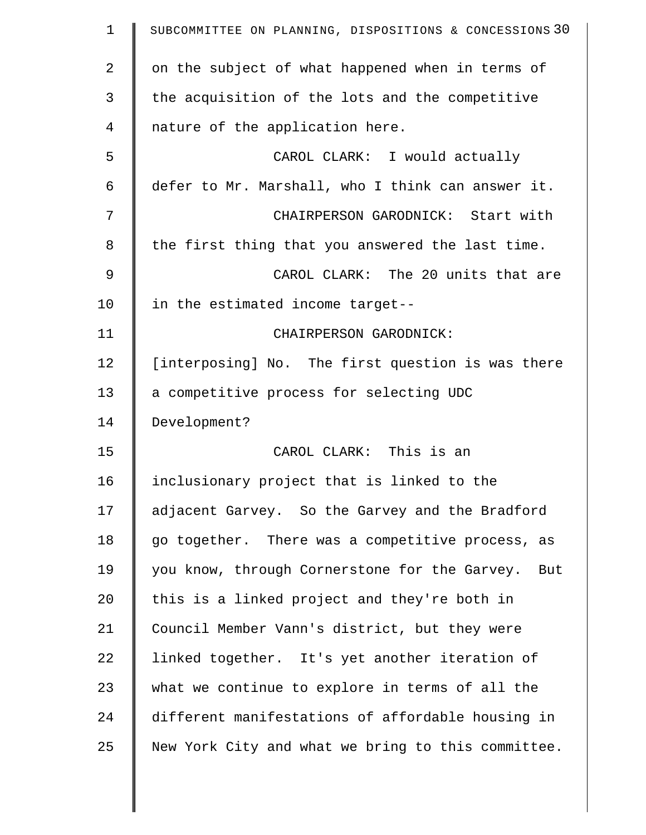| $\mathbf 1$ | SUBCOMMITTEE ON PLANNING, DISPOSITIONS & CONCESSIONS 30 |
|-------------|---------------------------------------------------------|
| 2           | on the subject of what happened when in terms of        |
| 3           | the acquisition of the lots and the competitive         |
| 4           | nature of the application here.                         |
| 5           | CAROL CLARK: I would actually                           |
| 6           | defer to Mr. Marshall, who I think can answer it.       |
| 7           | CHAIRPERSON GARODNICK: Start with                       |
| 8           | the first thing that you answered the last time.        |
| 9           | CAROL CLARK: The 20 units that are                      |
| 10          | in the estimated income target--                        |
| 11          | CHAIRPERSON GARODNICK:                                  |
| 12          | [interposing] No. The first question is was there       |
| 13          | a competitive process for selecting UDC                 |
| 14          | Development?                                            |
| 15          | CAROL CLARK: This is an                                 |
| 16          | inclusionary project that is linked to the              |
| 17          | adjacent Garvey. So the Garvey and the Bradford         |
| 18          | go together. There was a competitive process, as        |
| 19          | you know, through Cornerstone for the Garvey.<br>But    |
| 20          | this is a linked project and they're both in            |
| 21          | Council Member Vann's district, but they were           |
| 22          | linked together. It's yet another iteration of          |
| 23          | what we continue to explore in terms of all the         |
| 24          | different manifestations of affordable housing in       |
| 25          | New York City and what we bring to this committee.      |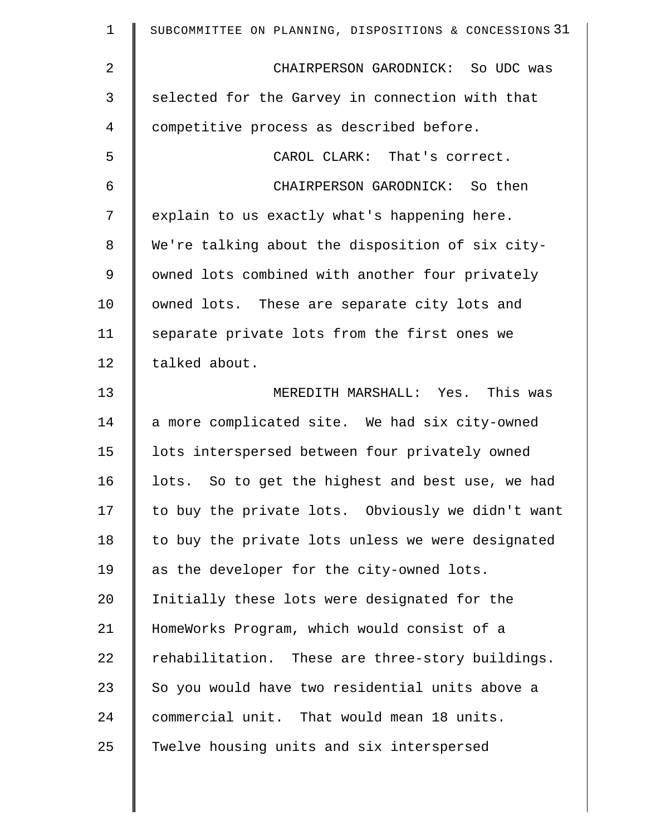| $\mathbf 1$ | SUBCOMMITTEE ON PLANNING, DISPOSITIONS & CONCESSIONS 31 |
|-------------|---------------------------------------------------------|
| 2           | CHAIRPERSON GARODNICK: So UDC was                       |
| 3           | selected for the Garvey in connection with that         |
| 4           | competitive process as described before.                |
| 5           | CAROL CLARK: That's correct.                            |
| 6           | CHAIRPERSON GARODNICK: So then                          |
| 7           | explain to us exactly what's happening here.            |
| 8           | We're talking about the disposition of six city-        |
| 9           | owned lots combined with another four privately         |
| 10          | owned lots. These are separate city lots and            |
| 11          | separate private lots from the first ones we            |
| 12          | talked about.                                           |
| 13          | MEREDITH MARSHALL: Yes. This was                        |
| 14          | a more complicated site. We had six city-owned          |
| 15          | lots interspersed between four privately owned          |
| 16          | lots. So to get the highest and best use, we had        |
| 17          | to buy the private lots. Obviously we didn't want       |
| 18          | to buy the private lots unless we were designated       |
| 19          | as the developer for the city-owned lots.               |
| 20          | Initially these lots were designated for the            |
| 21          | HomeWorks Program, which would consist of a             |
| 22          | rehabilitation. These are three-story buildings.        |
| 23          | So you would have two residential units above a         |
| 24          | commercial unit. That would mean 18 units.              |
| 25          | Twelve housing units and six interspersed               |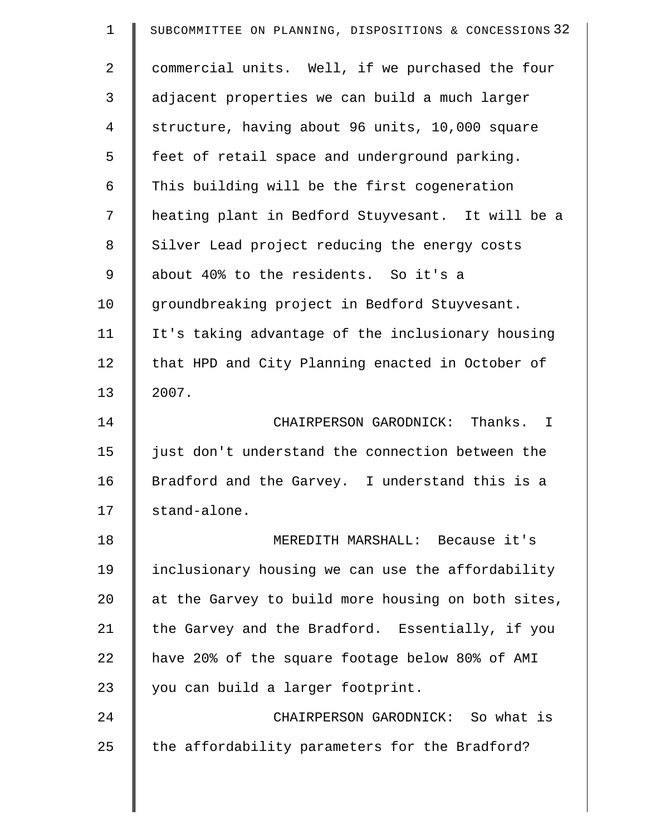| $\mathbf 1$    | SUBCOMMITTEE ON PLANNING, DISPOSITIONS & CONCESSIONS 32 |
|----------------|---------------------------------------------------------|
| $\overline{2}$ | commercial units. Well, if we purchased the four        |
| 3              | adjacent properties we can build a much larger          |
| 4              | structure, having about 96 units, 10,000 square         |
| 5              | feet of retail space and underground parking.           |
| 6              | This building will be the first cogeneration            |
| 7              | heating plant in Bedford Stuyvesant. It will be a       |
| 8              | Silver Lead project reducing the energy costs           |
| 9              | about 40% to the residents. So it's a                   |
| 10             | groundbreaking project in Bedford Stuyvesant.           |
| 11             | It's taking advantage of the inclusionary housing       |
| 12             | that HPD and City Planning enacted in October of        |
| 13             | 2007.                                                   |
| 14             | CHAIRPERSON GARODNICK: Thanks. I                        |
| 15             | just don't understand the connection between the        |
| 16             | Bradford and the Garvey. I understand this is a         |
| 17             | stand-alone.                                            |
| 18             | MEREDITH MARSHALL: Because it's                         |
| 19             | inclusionary housing we can use the affordability       |
| 20             | at the Garvey to build more housing on both sites,      |
| 21             | the Garvey and the Bradford. Essentially, if you        |
| 22             | have 20% of the square footage below 80% of AMI         |
| 23             | you can build a larger footprint.                       |
| 24             | CHAIRPERSON GARODNICK: So what is                       |
| 25             | the affordability parameters for the Bradford?          |
|                |                                                         |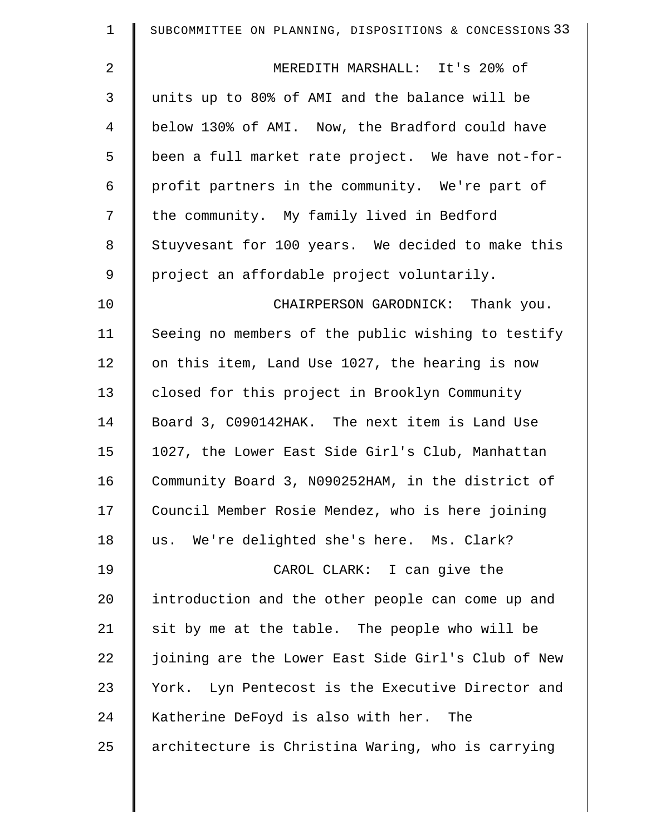| $\mathbf 1$    | SUBCOMMITTEE ON PLANNING, DISPOSITIONS & CONCESSIONS 33 |
|----------------|---------------------------------------------------------|
| $\overline{2}$ | MEREDITH MARSHALL: It's 20% of                          |
| 3              | units up to 80% of AMI and the balance will be          |
| 4              | below 130% of AMI. Now, the Bradford could have         |
| 5              | been a full market rate project. We have not-for-       |
| 6              | profit partners in the community. We're part of         |
| 7              | the community. My family lived in Bedford               |
| 8              | Stuyvesant for 100 years. We decided to make this       |
| $\mathsf 9$    | project an affordable project voluntarily.              |
| 10             | CHAIRPERSON GARODNICK: Thank you.                       |
| 11             | Seeing no members of the public wishing to testify      |
| 12             | on this item, Land Use 1027, the hearing is now         |
| 13             | closed for this project in Brooklyn Community           |
| 14             | Board 3, C090142HAK. The next item is Land Use          |
| 15             | 1027, the Lower East Side Girl's Club, Manhattan        |
| 16             | Community Board 3, N090252HAM, in the district of       |
| 17             | Council Member Rosie Mendez, who is here joining        |
| 18             | us. We're delighted she's here. Ms. Clark?              |
| 19             | CAROL CLARK: I can give the                             |
| 20             | introduction and the other people can come up and       |
| 21             | sit by me at the table. The people who will be          |
| 22             | joining are the Lower East Side Girl's Club of New      |
| 23             | York. Lyn Pentecost is the Executive Director and       |
| 24             | Katherine DeFoyd is also with her. The                  |
| 25             | architecture is Christina Waring, who is carrying       |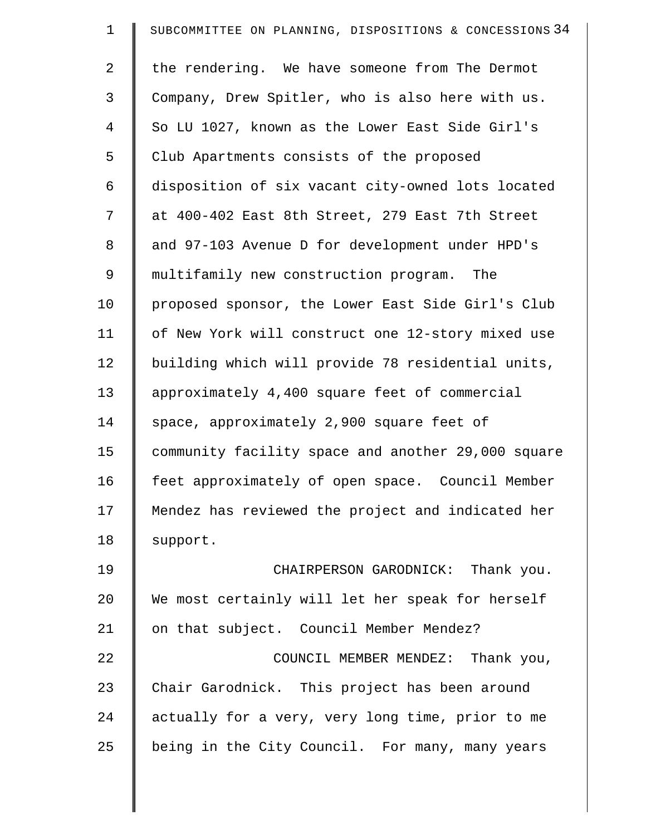| $\mathbf 1$ | SUBCOMMITTEE ON PLANNING, DISPOSITIONS & CONCESSIONS 34 |
|-------------|---------------------------------------------------------|
| 2           | the rendering. We have someone from The Dermot          |
| 3           | Company, Drew Spitler, who is also here with us.        |
| 4           | So LU 1027, known as the Lower East Side Girl's         |
| 5           | Club Apartments consists of the proposed                |
| 6           | disposition of six vacant city-owned lots located       |
| 7           | at 400-402 East 8th Street, 279 East 7th Street         |
| 8           | and 97-103 Avenue D for development under HPD's         |
| 9           | multifamily new construction program. The               |
| 10          | proposed sponsor, the Lower East Side Girl's Club       |
| 11          | of New York will construct one 12-story mixed use       |
| 12          | building which will provide 78 residential units,       |
| 13          | approximately 4,400 square feet of commercial           |
| 14          | space, approximately 2,900 square feet of               |
| 15          | community facility space and another 29,000 square      |
| 16          | feet approximately of open space. Council Member        |
| 17          | Mendez has reviewed the project and indicated her       |
| 18          | support.                                                |
| 19          | CHAIRPERSON GARODNICK: Thank you.                       |
| 20          | We most certainly will let her speak for herself        |
| 21          | on that subject. Council Member Mendez?                 |
| 22          | COUNCIL MEMBER MENDEZ: Thank you,                       |
| 23          | Chair Garodnick. This project has been around           |
| 24          | actually for a very, very long time, prior to me        |
| 25          | being in the City Council. For many, many years         |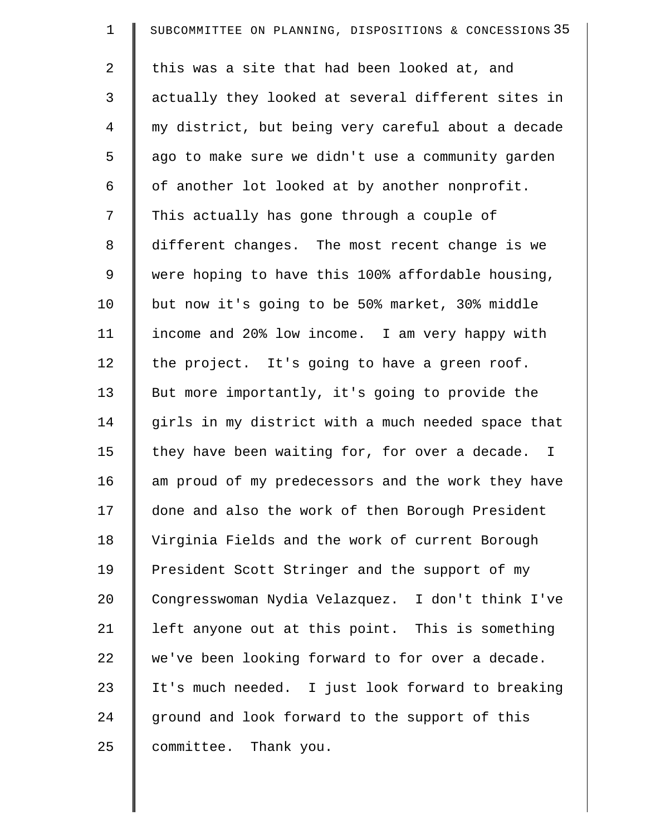| $\mathbf 1$ | SUBCOMMITTEE ON PLANNING, DISPOSITIONS & CONCESSIONS 35 |
|-------------|---------------------------------------------------------|
| 2           | this was a site that had been looked at, and            |
| 3           | actually they looked at several different sites in      |
| 4           | my district, but being very careful about a decade      |
| 5           | ago to make sure we didn't use a community garden       |
| 6           | of another lot looked at by another nonprofit.          |
| 7           | This actually has gone through a couple of              |
| 8           | different changes. The most recent change is we         |
| 9           | were hoping to have this 100% affordable housing,       |
| 10          | but now it's going to be 50% market, 30% middle         |
| 11          | income and 20% low income. I am very happy with         |
| 12          | the project. It's going to have a green roof.           |
| 13          | But more importantly, it's going to provide the         |
| 14          | girls in my district with a much needed space that      |
| 15          | they have been waiting for, for over a decade. I        |
| 16          | am proud of my predecessors and the work they have      |
| 17          | done and also the work of then Borough President        |
| 18          | Virginia Fields and the work of current Borough         |
| 19          | President Scott Stringer and the support of my          |
| 20          | Congresswoman Nydia Velazquez. I don't think I've       |
| 21          | left anyone out at this point. This is something        |
| 22          | we've been looking forward to for over a decade.        |
| 23          | It's much needed. I just look forward to breaking       |
| 24          | ground and look forward to the support of this          |
| 25          | committee. Thank you.                                   |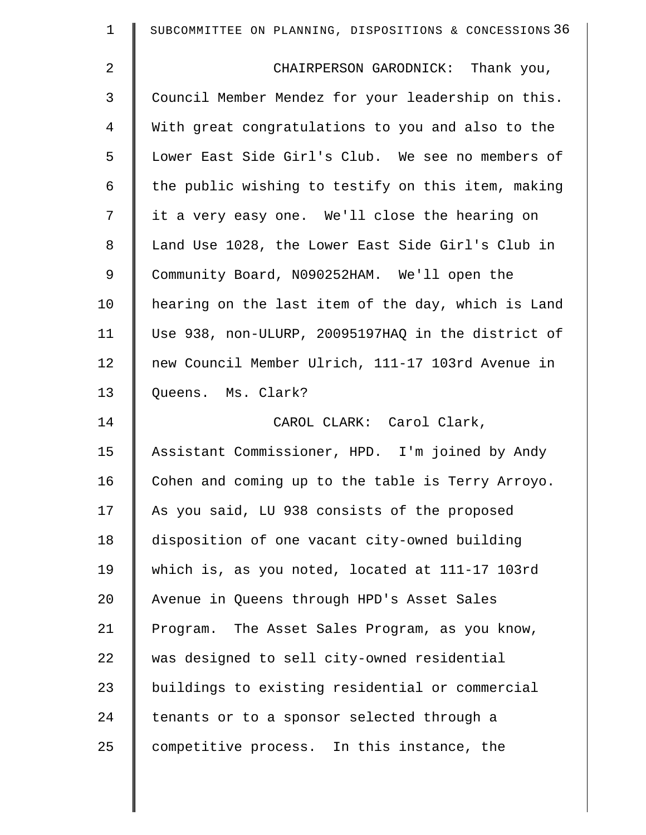| $\mathbf 1$    | SUBCOMMITTEE ON PLANNING, DISPOSITIONS & CONCESSIONS 36 |
|----------------|---------------------------------------------------------|
| $\overline{2}$ | CHAIRPERSON GARODNICK: Thank you,                       |
| $\mathfrak{Z}$ | Council Member Mendez for your leadership on this.      |
| 4              | With great congratulations to you and also to the       |
| 5              | Lower East Side Girl's Club. We see no members of       |
| 6              | the public wishing to testify on this item, making      |
| 7              | it a very easy one. We'll close the hearing on          |
| 8              | Land Use 1028, the Lower East Side Girl's Club in       |
| $\mathsf 9$    | Community Board, N090252HAM. We'll open the             |
| 10             | hearing on the last item of the day, which is Land      |
| 11             | Use 938, non-ULURP, 20095197HAQ in the district of      |
| 12             | new Council Member Ulrich, 111-17 103rd Avenue in       |
| 13             | Queens. Ms. Clark?                                      |
| 14             | CAROL CLARK: Carol Clark,                               |
| 15             | Assistant Commissioner, HPD. I'm joined by Andy         |
| 16             | Cohen and coming up to the table is Terry Arroyo.       |
| 17             | As you said, LU 938 consists of the proposed            |
| 18             | disposition of one vacant city-owned building           |
| 19             | which is, as you noted, located at 111-17 103rd         |
| 20             | Avenue in Queens through HPD's Asset Sales              |
| 21             | Program. The Asset Sales Program, as you know,          |
| 22             | was designed to sell city-owned residential             |
| 23             | buildings to existing residential or commercial         |
| 24             | tenants or to a sponsor selected through a              |
| 25             | competitive process. In this instance, the              |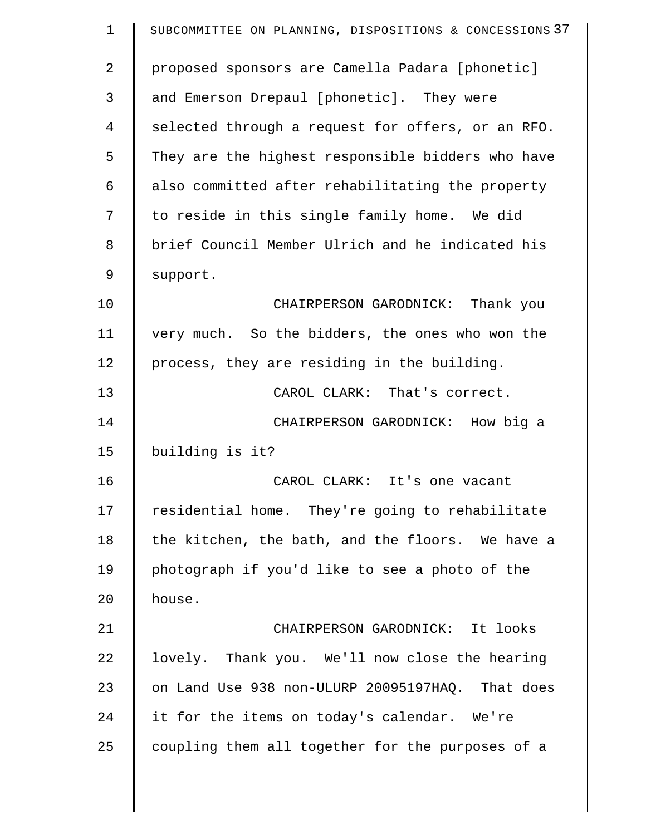| $\mathbf 1$ | SUBCOMMITTEE ON PLANNING, DISPOSITIONS & CONCESSIONS 37 |
|-------------|---------------------------------------------------------|
| 2           | proposed sponsors are Camella Padara [phonetic]         |
| 3           | and Emerson Drepaul [phonetic]. They were               |
| 4           | selected through a request for offers, or an RFO.       |
| 5           | They are the highest responsible bidders who have       |
| 6           | also committed after rehabilitating the property        |
| 7           | to reside in this single family home. We did            |
| 8           | brief Council Member Ulrich and he indicated his        |
| 9           | support.                                                |
| 10          | CHAIRPERSON GARODNICK: Thank you                        |
| 11          | very much. So the bidders, the ones who won the         |
| 12          | process, they are residing in the building.             |
| 13          | CAROL CLARK: That's correct.                            |
| 14          | CHAIRPERSON GARODNICK: How big a                        |
| 15          | building is it?                                         |
| 16          | CAROL CLARK: It's one vacant                            |
| 17          | residential home. They're going to rehabilitate         |
| 18          | the kitchen, the bath, and the floors. We have a        |
| 19          | photograph if you'd like to see a photo of the          |
| 20          | house.                                                  |
| 21          | CHAIRPERSON GARODNICK: It looks                         |
| 22          | lovely. Thank you. We'll now close the hearing          |
| 23          | on Land Use 938 non-ULURP 20095197HAQ. That does        |
| 24          | it for the items on today's calendar. We're             |
| 25          | coupling them all together for the purposes of a        |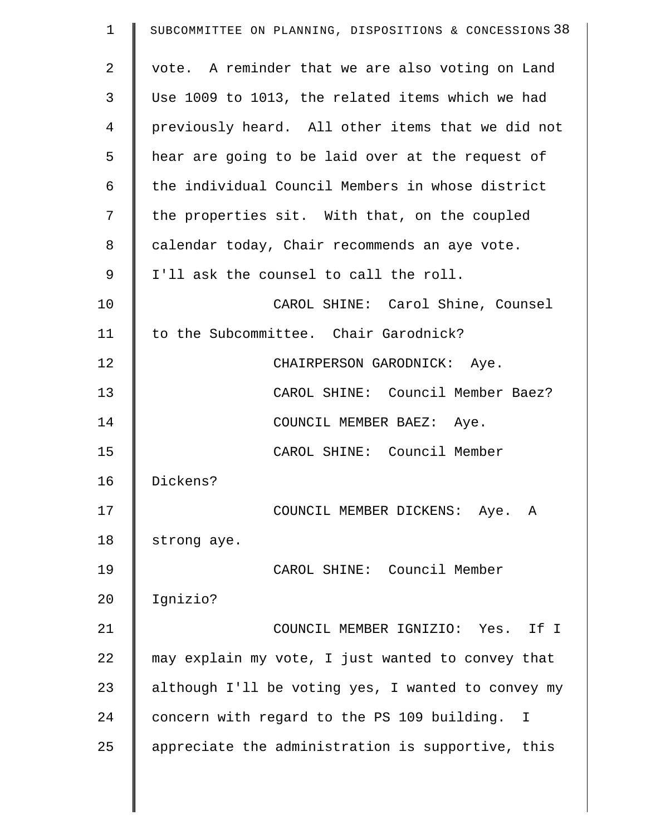| $\mathbf 1$ | SUBCOMMITTEE ON PLANNING, DISPOSITIONS & CONCESSIONS 38 |
|-------------|---------------------------------------------------------|
| 2           | vote. A reminder that we are also voting on Land        |
| 3           | Use 1009 to 1013, the related items which we had        |
| 4           | previously heard. All other items that we did not       |
| 5           | hear are going to be laid over at the request of        |
| 6           | the individual Council Members in whose district        |
| 7           | the properties sit. With that, on the coupled           |
| 8           | calendar today, Chair recommends an aye vote.           |
| 9           | I'll ask the counsel to call the roll.                  |
| 10          | CAROL SHINE: Carol Shine, Counsel                       |
| 11          | to the Subcommittee. Chair Garodnick?                   |
| 12          | CHAIRPERSON GARODNICK: Aye.                             |
| 13          | CAROL SHINE: Council Member Baez?                       |
| 14          | COUNCIL MEMBER BAEZ: Aye.                               |
| 15          | CAROL SHINE: Council Member                             |
| 16          | Dickens?                                                |
| 17          | COUNCIL MEMBER DICKENS: Aye. A                          |
| 18          | strong aye.                                             |
| 19          | CAROL SHINE: Council Member                             |
| 20          | Ignizio?                                                |
| 21          | COUNCIL MEMBER IGNIZIO: Yes. If I                       |
| 22          | may explain my vote, I just wanted to convey that       |
| 23          | although I'll be voting yes, I wanted to convey my      |
| 24          | concern with regard to the PS 109 building. I           |
| 25          | appreciate the administration is supportive, this       |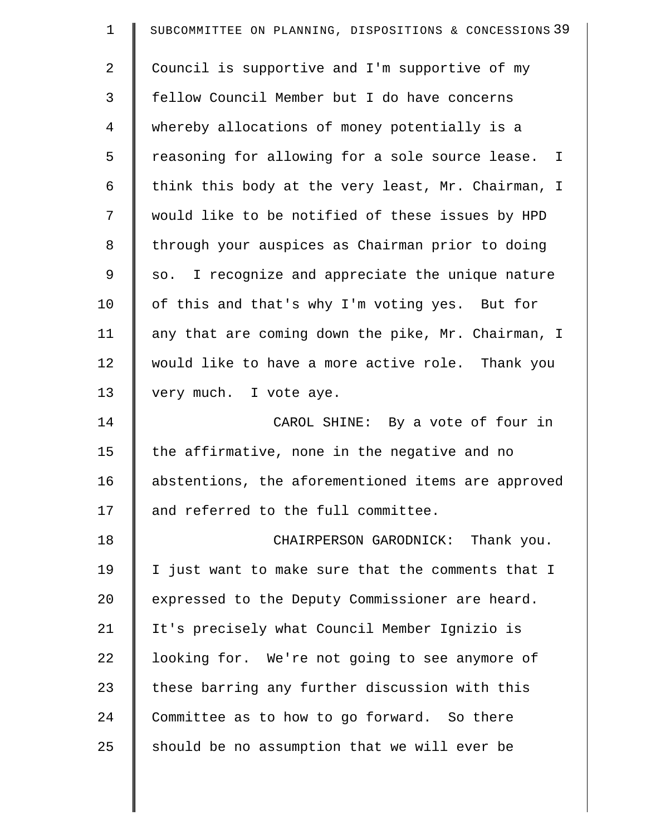| $\mathbf 1$    | SUBCOMMITTEE ON PLANNING, DISPOSITIONS & CONCESSIONS 39 |
|----------------|---------------------------------------------------------|
| $\overline{2}$ | Council is supportive and I'm supportive of my          |
| 3              | fellow Council Member but I do have concerns            |
| $\overline{4}$ | whereby allocations of money potentially is a           |
| 5              | reasoning for allowing for a sole source lease.<br>I    |
| 6              | think this body at the very least, Mr. Chairman, I      |
| 7              | would like to be notified of these issues by HPD        |
| 8              | through your auspices as Chairman prior to doing        |
| 9              | I recognize and appreciate the unique nature<br>SO.     |
| 10             | of this and that's why I'm voting yes. But for          |
| 11             | any that are coming down the pike, Mr. Chairman, I      |
| 12             | would like to have a more active role. Thank you        |
| 13             | very much. I vote aye.                                  |
| 14             | CAROL SHINE: By a vote of four in                       |
| 15             | the affirmative, none in the negative and no            |
| 16             | abstentions, the aforementioned items are approved      |
| 17             | and referred to the full committee.                     |
| 18             | CHAIRPERSON GARODNICK: Thank you.                       |
| 19             | I just want to make sure that the comments that I       |
| 20             | expressed to the Deputy Commissioner are heard.         |
| 21             | It's precisely what Council Member Ignizio is           |
| 22             | looking for. We're not going to see anymore of          |
| 23             | these barring any further discussion with this          |
| 24             | Committee as to how to go forward. So there             |
| 25             | should be no assumption that we will ever be            |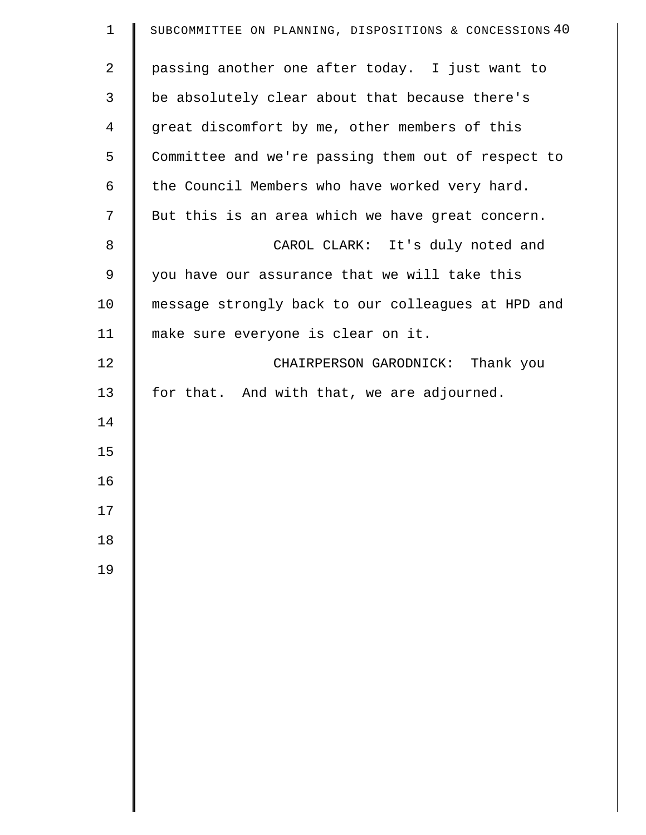| $\mathbf{1}$   | SUBCOMMITTEE ON PLANNING, DISPOSITIONS & CONCESSIONS 40 |
|----------------|---------------------------------------------------------|
| $\overline{2}$ | passing another one after today. I just want to         |
| $\mathsf{3}$   | be absolutely clear about that because there's          |
| $\overline{4}$ | great discomfort by me, other members of this           |
| 5              | Committee and we're passing them out of respect to      |
| 6              | the Council Members who have worked very hard.          |
| 7              | But this is an area which we have great concern.        |
| 8              | CAROL CLARK: It's duly noted and                        |
| 9              | you have our assurance that we will take this           |
| 10             | message strongly back to our colleagues at HPD and      |
| 11             | make sure everyone is clear on it.                      |
| 12             | CHAIRPERSON GARODNICK: Thank you                        |
| 13             | for that. And with that, we are adjourned.              |
| 14             |                                                         |
| 15             |                                                         |
| 16             |                                                         |
| 17             |                                                         |
| 18             |                                                         |
| 19             |                                                         |
|                |                                                         |
|                |                                                         |
|                |                                                         |
|                |                                                         |
|                |                                                         |
|                |                                                         |
|                |                                                         |
|                |                                                         |